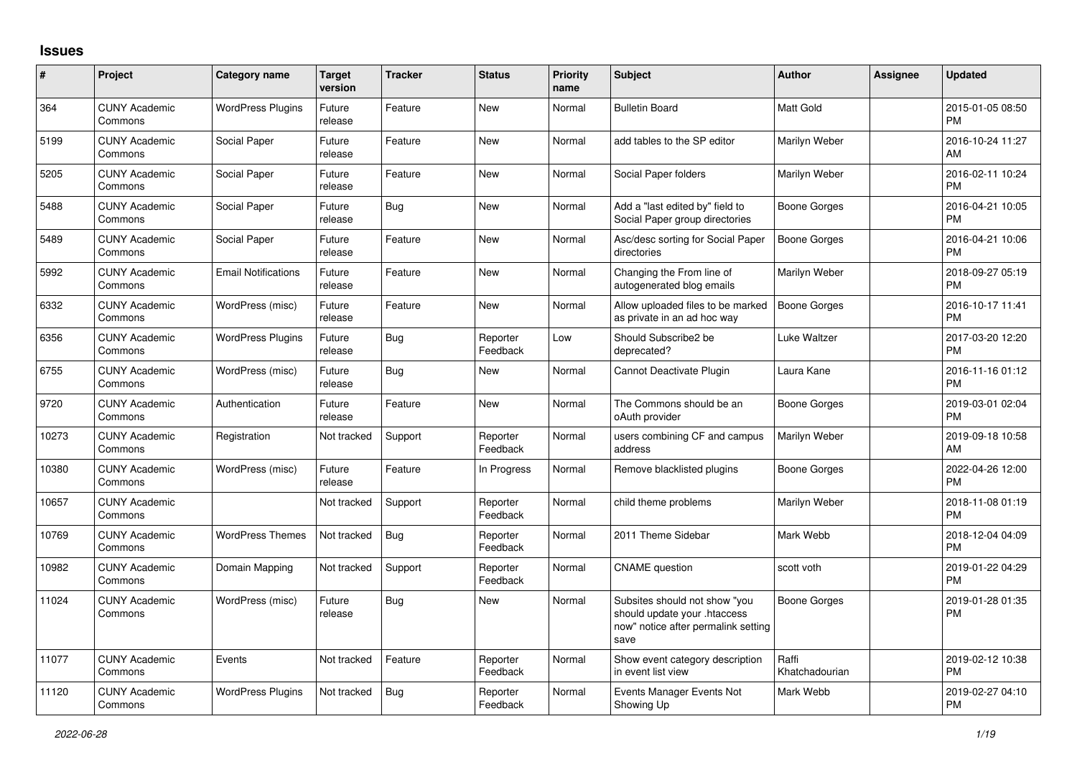## **Issues**

| $\#$  | Project                         | Category name              | <b>Target</b><br>version | <b>Tracker</b> | <b>Status</b>        | <b>Priority</b><br>name | <b>Subject</b>                                                                                               | <b>Author</b>           | <b>Assignee</b> | <b>Updated</b>                |
|-------|---------------------------------|----------------------------|--------------------------|----------------|----------------------|-------------------------|--------------------------------------------------------------------------------------------------------------|-------------------------|-----------------|-------------------------------|
| 364   | <b>CUNY Academic</b><br>Commons | <b>WordPress Plugins</b>   | Future<br>release        | Feature        | <b>New</b>           | Normal                  | <b>Bulletin Board</b>                                                                                        | <b>Matt Gold</b>        |                 | 2015-01-05 08:50<br><b>PM</b> |
| 5199  | <b>CUNY Academic</b><br>Commons | Social Paper               | Future<br>release        | Feature        | <b>New</b>           | Normal                  | add tables to the SP editor                                                                                  | Marilyn Weber           |                 | 2016-10-24 11:27<br>AM        |
| 5205  | <b>CUNY Academic</b><br>Commons | Social Paper               | Future<br>release        | Feature        | <b>New</b>           | Normal                  | Social Paper folders                                                                                         | Marilyn Weber           |                 | 2016-02-11 10:24<br><b>PM</b> |
| 5488  | <b>CUNY Academic</b><br>Commons | Social Paper               | Future<br>release        | <b>Bug</b>     | <b>New</b>           | Normal                  | Add a "last edited by" field to<br>Social Paper group directories                                            | <b>Boone Gorges</b>     |                 | 2016-04-21 10:05<br><b>PM</b> |
| 5489  | <b>CUNY Academic</b><br>Commons | Social Paper               | Future<br>release        | Feature        | <b>New</b>           | Normal                  | Asc/desc sorting for Social Paper<br>directories                                                             | <b>Boone Gorges</b>     |                 | 2016-04-21 10:06<br><b>PM</b> |
| 5992  | <b>CUNY Academic</b><br>Commons | <b>Email Notifications</b> | Future<br>release        | Feature        | New                  | Normal                  | Changing the From line of<br>autogenerated blog emails                                                       | Marilyn Weber           |                 | 2018-09-27 05:19<br><b>PM</b> |
| 6332  | <b>CUNY Academic</b><br>Commons | WordPress (misc)           | Future<br>release        | Feature        | <b>New</b>           | Normal                  | Allow uploaded files to be marked<br>as private in an ad hoc way                                             | <b>Boone Gorges</b>     |                 | 2016-10-17 11:41<br><b>PM</b> |
| 6356  | <b>CUNY Academic</b><br>Commons | <b>WordPress Plugins</b>   | Future<br>release        | Bug            | Reporter<br>Feedback | Low                     | Should Subscribe2 be<br>deprecated?                                                                          | Luke Waltzer            |                 | 2017-03-20 12:20<br><b>PM</b> |
| 6755  | <b>CUNY Academic</b><br>Commons | WordPress (misc)           | Future<br>release        | <b>Bug</b>     | <b>New</b>           | Normal                  | Cannot Deactivate Plugin                                                                                     | Laura Kane              |                 | 2016-11-16 01:12<br><b>PM</b> |
| 9720  | <b>CUNY Academic</b><br>Commons | Authentication             | Future<br>release        | Feature        | <b>New</b>           | Normal                  | The Commons should be an<br>oAuth provider                                                                   | Boone Gorges            |                 | 2019-03-01 02:04<br><b>PM</b> |
| 10273 | <b>CUNY Academic</b><br>Commons | Registration               | Not tracked              | Support        | Reporter<br>Feedback | Normal                  | users combining CF and campus<br>address                                                                     | Marilyn Weber           |                 | 2019-09-18 10:58<br>AM        |
| 10380 | <b>CUNY Academic</b><br>Commons | WordPress (misc)           | Future<br>release        | Feature        | In Progress          | Normal                  | Remove blacklisted plugins                                                                                   | <b>Boone Gorges</b>     |                 | 2022-04-26 12:00<br><b>PM</b> |
| 10657 | <b>CUNY Academic</b><br>Commons |                            | Not tracked              | Support        | Reporter<br>Feedback | Normal                  | child theme problems                                                                                         | Marilyn Weber           |                 | 2018-11-08 01:19<br><b>PM</b> |
| 10769 | <b>CUNY Academic</b><br>Commons | <b>WordPress Themes</b>    | Not tracked              | Bug            | Reporter<br>Feedback | Normal                  | 2011 Theme Sidebar                                                                                           | Mark Webb               |                 | 2018-12-04 04:09<br><b>PM</b> |
| 10982 | <b>CUNY Academic</b><br>Commons | Domain Mapping             | Not tracked              | Support        | Reporter<br>Feedback | Normal                  | <b>CNAME</b> question                                                                                        | scott voth              |                 | 2019-01-22 04:29<br><b>PM</b> |
| 11024 | <b>CUNY Academic</b><br>Commons | WordPress (misc)           | Future<br>release        | <b>Bug</b>     | <b>New</b>           | Normal                  | Subsites should not show "you<br>should update your .htaccess<br>now" notice after permalink setting<br>save | <b>Boone Gorges</b>     |                 | 2019-01-28 01:35<br><b>PM</b> |
| 11077 | <b>CUNY Academic</b><br>Commons | Events                     | Not tracked              | Feature        | Reporter<br>Feedback | Normal                  | Show event category description<br>in event list view                                                        | Raffi<br>Khatchadourian |                 | 2019-02-12 10:38<br><b>PM</b> |
| 11120 | <b>CUNY Academic</b><br>Commons | <b>WordPress Plugins</b>   | Not tracked              | <b>Bug</b>     | Reporter<br>Feedback | Normal                  | Events Manager Events Not<br>Showing Up                                                                      | Mark Webb               |                 | 2019-02-27 04:10<br>PM        |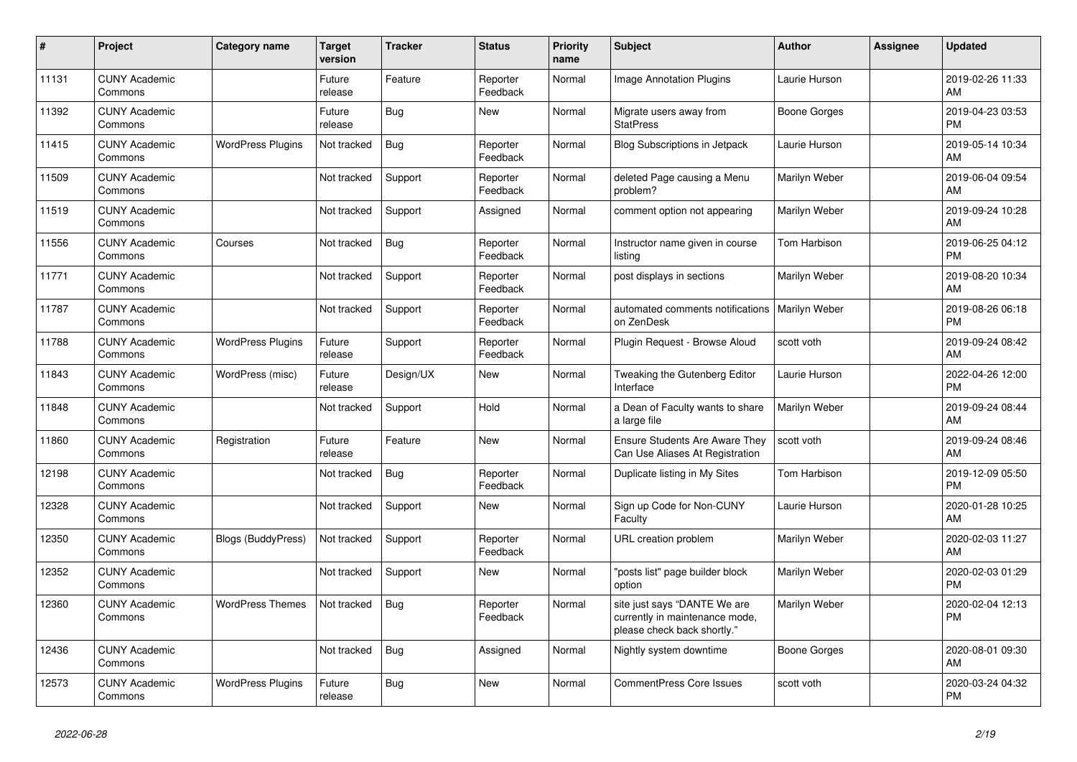| #     | Project                         | <b>Category name</b>     | <b>Target</b><br>version | <b>Tracker</b> | <b>Status</b>        | <b>Priority</b><br>name | <b>Subject</b>                                                                                | Author               | <b>Assignee</b> | <b>Updated</b>                |
|-------|---------------------------------|--------------------------|--------------------------|----------------|----------------------|-------------------------|-----------------------------------------------------------------------------------------------|----------------------|-----------------|-------------------------------|
| 11131 | <b>CUNY Academic</b><br>Commons |                          | Future<br>release        | Feature        | Reporter<br>Feedback | Normal                  | <b>Image Annotation Plugins</b>                                                               | Laurie Hurson        |                 | 2019-02-26 11:33<br>AM        |
| 11392 | <b>CUNY Academic</b><br>Commons |                          | Future<br>release        | Bug            | <b>New</b>           | Normal                  | Migrate users away from<br><b>StatPress</b>                                                   | Boone Gorges         |                 | 2019-04-23 03:53<br><b>PM</b> |
| 11415 | <b>CUNY Academic</b><br>Commons | <b>WordPress Plugins</b> | Not tracked              | Bug            | Reporter<br>Feedback | Normal                  | <b>Blog Subscriptions in Jetpack</b>                                                          | Laurie Hurson        |                 | 2019-05-14 10:34<br>AM        |
| 11509 | <b>CUNY Academic</b><br>Commons |                          | Not tracked              | Support        | Reporter<br>Feedback | Normal                  | deleted Page causing a Menu<br>problem?                                                       | Marilyn Weber        |                 | 2019-06-04 09:54<br>AM        |
| 11519 | <b>CUNY Academic</b><br>Commons |                          | Not tracked              | Support        | Assigned             | Normal                  | comment option not appearing                                                                  | Marilyn Weber        |                 | 2019-09-24 10:28<br>AM        |
| 11556 | <b>CUNY Academic</b><br>Commons | Courses                  | Not tracked              | <b>Bug</b>     | Reporter<br>Feedback | Normal                  | Instructor name given in course<br>listing                                                    | Tom Harbison         |                 | 2019-06-25 04:12<br><b>PM</b> |
| 11771 | <b>CUNY Academic</b><br>Commons |                          | Not tracked              | Support        | Reporter<br>Feedback | Normal                  | post displays in sections                                                                     | Marilyn Weber        |                 | 2019-08-20 10:34<br>AM        |
| 11787 | <b>CUNY Academic</b><br>Commons |                          | Not tracked              | Support        | Reporter<br>Feedback | Normal                  | automated comments notifications<br>on ZenDesk                                                | <b>Marilyn Weber</b> |                 | 2019-08-26 06:18<br><b>PM</b> |
| 11788 | <b>CUNY Academic</b><br>Commons | <b>WordPress Plugins</b> | Future<br>release        | Support        | Reporter<br>Feedback | Normal                  | Plugin Request - Browse Aloud                                                                 | scott voth           |                 | 2019-09-24 08:42<br>AM        |
| 11843 | <b>CUNY Academic</b><br>Commons | WordPress (misc)         | Future<br>release        | Design/UX      | <b>New</b>           | Normal                  | Tweaking the Gutenberg Editor<br>Interface                                                    | Laurie Hurson        |                 | 2022-04-26 12:00<br><b>PM</b> |
| 11848 | <b>CUNY Academic</b><br>Commons |                          | Not tracked              | Support        | Hold                 | Normal                  | a Dean of Faculty wants to share<br>a large file                                              | Marilyn Weber        |                 | 2019-09-24 08:44<br>AM        |
| 11860 | <b>CUNY Academic</b><br>Commons | Registration             | Future<br>release        | Feature        | New                  | Normal                  | <b>Ensure Students Are Aware They</b><br>Can Use Aliases At Registration                      | scott voth           |                 | 2019-09-24 08:46<br>AM        |
| 12198 | <b>CUNY Academic</b><br>Commons |                          | Not tracked              | <b>Bug</b>     | Reporter<br>Feedback | Normal                  | Duplicate listing in My Sites                                                                 | Tom Harbison         |                 | 2019-12-09 05:50<br><b>PM</b> |
| 12328 | <b>CUNY Academic</b><br>Commons |                          | Not tracked              | Support        | New                  | Normal                  | Sign up Code for Non-CUNY<br>Faculty                                                          | Laurie Hurson        |                 | 2020-01-28 10:25<br>AM        |
| 12350 | <b>CUNY Academic</b><br>Commons | Blogs (BuddyPress)       | Not tracked              | Support        | Reporter<br>Feedback | Normal                  | URL creation problem                                                                          | Marilyn Weber        |                 | 2020-02-03 11:27<br>AM        |
| 12352 | <b>CUNY Academic</b><br>Commons |                          | Not tracked              | Support        | <b>New</b>           | Normal                  | 'posts list" page builder block<br>option                                                     | Marilyn Weber        |                 | 2020-02-03 01:29<br><b>PM</b> |
| 12360 | <b>CUNY Academic</b><br>Commons | <b>WordPress Themes</b>  | Not tracked              | <b>Bug</b>     | Reporter<br>Feedback | Normal                  | site just says "DANTE We are<br>currently in maintenance mode,<br>please check back shortly." | Marilyn Weber        |                 | 2020-02-04 12:13<br><b>PM</b> |
| 12436 | <b>CUNY Academic</b><br>Commons |                          | Not tracked              | Bug            | Assigned             | Normal                  | Nightly system downtime                                                                       | Boone Gorges         |                 | 2020-08-01 09:30<br>AM        |
| 12573 | <b>CUNY Academic</b><br>Commons | <b>WordPress Plugins</b> | Future<br>release        | Bug            | <b>New</b>           | Normal                  | CommentPress Core Issues                                                                      | scott voth           |                 | 2020-03-24 04:32<br><b>PM</b> |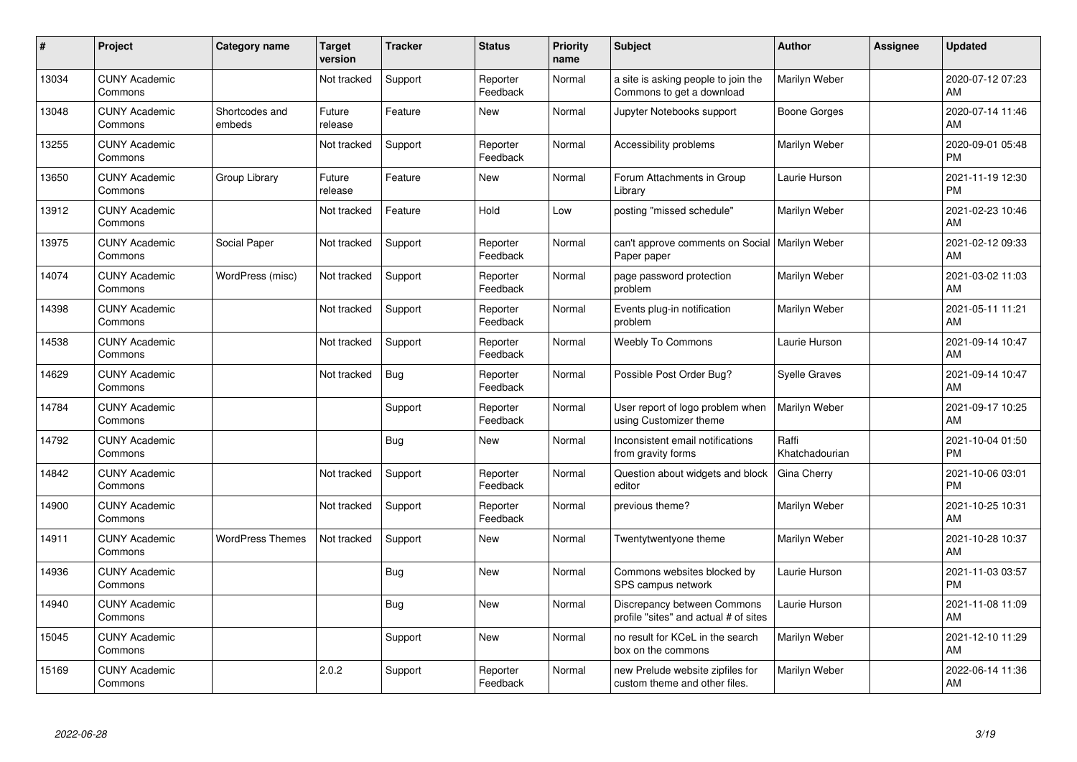| #     | Project                         | Category name            | <b>Target</b><br>version | <b>Tracker</b> | <b>Status</b>        | <b>Priority</b><br>name | <b>Subject</b>                                                       | <b>Author</b>           | <b>Assignee</b> | <b>Updated</b>                |
|-------|---------------------------------|--------------------------|--------------------------|----------------|----------------------|-------------------------|----------------------------------------------------------------------|-------------------------|-----------------|-------------------------------|
| 13034 | <b>CUNY Academic</b><br>Commons |                          | Not tracked              | Support        | Reporter<br>Feedback | Normal                  | a site is asking people to join the<br>Commons to get a download     | Marilyn Weber           |                 | 2020-07-12 07:23<br>AM        |
| 13048 | <b>CUNY Academic</b><br>Commons | Shortcodes and<br>embeds | Future<br>release        | Feature        | New                  | Normal                  | Jupyter Notebooks support                                            | <b>Boone Gorges</b>     |                 | 2020-07-14 11:46<br>AM        |
| 13255 | <b>CUNY Academic</b><br>Commons |                          | Not tracked              | Support        | Reporter<br>Feedback | Normal                  | Accessibility problems                                               | Marilyn Weber           |                 | 2020-09-01 05:48<br><b>PM</b> |
| 13650 | <b>CUNY Academic</b><br>Commons | Group Library            | Future<br>release        | Feature        | New                  | Normal                  | Forum Attachments in Group<br>Library                                | Laurie Hurson           |                 | 2021-11-19 12:30<br><b>PM</b> |
| 13912 | <b>CUNY Academic</b><br>Commons |                          | Not tracked              | Feature        | Hold                 | Low                     | posting "missed schedule"                                            | Marilyn Weber           |                 | 2021-02-23 10:46<br>AM        |
| 13975 | <b>CUNY Academic</b><br>Commons | Social Paper             | Not tracked              | Support        | Reporter<br>Feedback | Normal                  | can't approve comments on Social   Marilyn Weber<br>Paper paper      |                         |                 | 2021-02-12 09:33<br>AM        |
| 14074 | <b>CUNY Academic</b><br>Commons | WordPress (misc)         | Not tracked              | Support        | Reporter<br>Feedback | Normal                  | page password protection<br>problem                                  | Marilyn Weber           |                 | 2021-03-02 11:03<br>AM        |
| 14398 | <b>CUNY Academic</b><br>Commons |                          | Not tracked              | Support        | Reporter<br>Feedback | Normal                  | Events plug-in notification<br>problem                               | Marilyn Weber           |                 | 2021-05-11 11:21<br>AM        |
| 14538 | <b>CUNY Academic</b><br>Commons |                          | Not tracked              | Support        | Reporter<br>Feedback | Normal                  | <b>Weebly To Commons</b>                                             | Laurie Hurson           |                 | 2021-09-14 10:47<br>AM        |
| 14629 | <b>CUNY Academic</b><br>Commons |                          | Not tracked              | <b>Bug</b>     | Reporter<br>Feedback | Normal                  | Possible Post Order Bug?                                             | <b>Syelle Graves</b>    |                 | 2021-09-14 10:47<br>AM        |
| 14784 | <b>CUNY Academic</b><br>Commons |                          |                          | Support        | Reporter<br>Feedback | Normal                  | User report of logo problem when<br>using Customizer theme           | Marilyn Weber           |                 | 2021-09-17 10:25<br>AM        |
| 14792 | <b>CUNY Academic</b><br>Commons |                          |                          | Bug            | <b>New</b>           | Normal                  | Inconsistent email notifications<br>from gravity forms               | Raffi<br>Khatchadourian |                 | 2021-10-04 01:50<br><b>PM</b> |
| 14842 | <b>CUNY Academic</b><br>Commons |                          | Not tracked              | Support        | Reporter<br>Feedback | Normal                  | Question about widgets and block<br>editor                           | Gina Cherry             |                 | 2021-10-06 03:01<br><b>PM</b> |
| 14900 | <b>CUNY Academic</b><br>Commons |                          | Not tracked              | Support        | Reporter<br>Feedback | Normal                  | previous theme?                                                      | Marilyn Weber           |                 | 2021-10-25 10:31<br>AM        |
| 14911 | <b>CUNY Academic</b><br>Commons | <b>WordPress Themes</b>  | Not tracked              | Support        | <b>New</b>           | Normal                  | Twentytwentyone theme                                                | Marilyn Weber           |                 | 2021-10-28 10:37<br>AM        |
| 14936 | <b>CUNY Academic</b><br>Commons |                          |                          | <b>Bug</b>     | <b>New</b>           | Normal                  | Commons websites blocked by<br>SPS campus network                    | Laurie Hurson           |                 | 2021-11-03 03:57<br><b>PM</b> |
| 14940 | <b>CUNY Academic</b><br>Commons |                          |                          | <b>Bug</b>     | <b>New</b>           | Normal                  | Discrepancy between Commons<br>profile "sites" and actual # of sites | Laurie Hurson           |                 | 2021-11-08 11:09<br>AM        |
| 15045 | <b>CUNY Academic</b><br>Commons |                          |                          | Support        | <b>New</b>           | Normal                  | no result for KCeL in the search<br>box on the commons               | Marilyn Weber           |                 | 2021-12-10 11:29<br>AM        |
| 15169 | <b>CUNY Academic</b><br>Commons |                          | 2.0.2                    | Support        | Reporter<br>Feedback | Normal                  | new Prelude website zipfiles for<br>custom theme and other files.    | Marilyn Weber           |                 | 2022-06-14 11:36<br>AM        |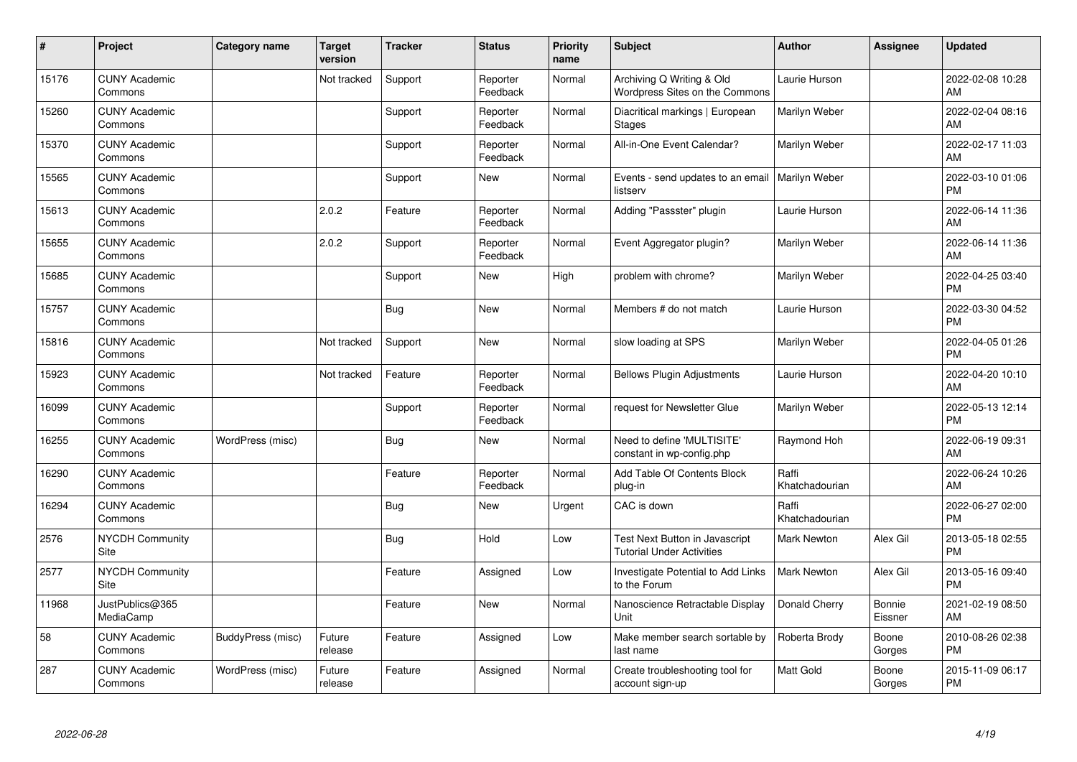| #     | Project                         | Category name     | <b>Target</b><br>version | <b>Tracker</b> | <b>Status</b>        | <b>Priority</b><br>name | <b>Subject</b>                                                     | Author                  | <b>Assignee</b>   | <b>Updated</b>                |
|-------|---------------------------------|-------------------|--------------------------|----------------|----------------------|-------------------------|--------------------------------------------------------------------|-------------------------|-------------------|-------------------------------|
| 15176 | <b>CUNY Academic</b><br>Commons |                   | Not tracked              | Support        | Reporter<br>Feedback | Normal                  | Archiving Q Writing & Old<br>Wordpress Sites on the Commons        | Laurie Hurson           |                   | 2022-02-08 10:28<br>AM        |
| 15260 | <b>CUNY Academic</b><br>Commons |                   |                          | Support        | Reporter<br>Feedback | Normal                  | Diacritical markings   European<br><b>Stages</b>                   | Marilyn Weber           |                   | 2022-02-04 08:16<br>AM        |
| 15370 | <b>CUNY Academic</b><br>Commons |                   |                          | Support        | Reporter<br>Feedback | Normal                  | All-in-One Event Calendar?                                         | Marilyn Weber           |                   | 2022-02-17 11:03<br>AM        |
| 15565 | <b>CUNY Academic</b><br>Commons |                   |                          | Support        | <b>New</b>           | Normal                  | Events - send updates to an email<br>listserv                      | <b>Marilyn Weber</b>    |                   | 2022-03-10 01:06<br><b>PM</b> |
| 15613 | <b>CUNY Academic</b><br>Commons |                   | 2.0.2                    | Feature        | Reporter<br>Feedback | Normal                  | Adding "Passster" plugin                                           | Laurie Hurson           |                   | 2022-06-14 11:36<br>AM        |
| 15655 | <b>CUNY Academic</b><br>Commons |                   | 2.0.2                    | Support        | Reporter<br>Feedback | Normal                  | Event Aggregator plugin?                                           | Marilyn Weber           |                   | 2022-06-14 11:36<br>AM        |
| 15685 | <b>CUNY Academic</b><br>Commons |                   |                          | Support        | New                  | High                    | problem with chrome?                                               | Marilyn Weber           |                   | 2022-04-25 03:40<br><b>PM</b> |
| 15757 | <b>CUNY Academic</b><br>Commons |                   |                          | Bug            | <b>New</b>           | Normal                  | Members # do not match                                             | Laurie Hurson           |                   | 2022-03-30 04:52<br><b>PM</b> |
| 15816 | <b>CUNY Academic</b><br>Commons |                   | Not tracked              | Support        | New                  | Normal                  | slow loading at SPS                                                | Marilyn Weber           |                   | 2022-04-05 01:26<br><b>PM</b> |
| 15923 | <b>CUNY Academic</b><br>Commons |                   | Not tracked              | Feature        | Reporter<br>Feedback | Normal                  | <b>Bellows Plugin Adjustments</b>                                  | Laurie Hurson           |                   | 2022-04-20 10:10<br>AM        |
| 16099 | <b>CUNY Academic</b><br>Commons |                   |                          | Support        | Reporter<br>Feedback | Normal                  | request for Newsletter Glue                                        | Marilyn Weber           |                   | 2022-05-13 12:14<br><b>PM</b> |
| 16255 | <b>CUNY Academic</b><br>Commons | WordPress (misc)  |                          | <b>Bug</b>     | New                  | Normal                  | Need to define 'MULTISITE'<br>constant in wp-config.php            | Raymond Hoh             |                   | 2022-06-19 09:31<br>AM        |
| 16290 | <b>CUNY Academic</b><br>Commons |                   |                          | Feature        | Reporter<br>Feedback | Normal                  | Add Table Of Contents Block<br>plug-in                             | Raffi<br>Khatchadourian |                   | 2022-06-24 10:26<br>AM        |
| 16294 | <b>CUNY Academic</b><br>Commons |                   |                          | <b>Bug</b>     | <b>New</b>           | Urgent                  | CAC is down                                                        | Raffi<br>Khatchadourian |                   | 2022-06-27 02:00<br><b>PM</b> |
| 2576  | <b>NYCDH Community</b><br>Site  |                   |                          | Bug            | Hold                 | Low                     | Test Next Button in Javascript<br><b>Tutorial Under Activities</b> | Mark Newton             | Alex Gil          | 2013-05-18 02:55<br><b>PM</b> |
| 2577  | <b>NYCDH Community</b><br>Site  |                   |                          | Feature        | Assigned             | Low                     | Investigate Potential to Add Links<br>to the Forum                 | <b>Mark Newton</b>      | Alex Gil          | 2013-05-16 09:40<br><b>PM</b> |
| 11968 | JustPublics@365<br>MediaCamp    |                   |                          | Feature        | New                  | Normal                  | Nanoscience Retractable Display<br>Unit                            | Donald Cherry           | Bonnie<br>Eissner | 2021-02-19 08:50<br>AM        |
| 58    | <b>CUNY Academic</b><br>Commons | BuddyPress (misc) | Future<br>release        | Feature        | Assigned             | Low                     | Make member search sortable by<br>last name                        | Roberta Brody           | Boone<br>Gorges   | 2010-08-26 02:38<br><b>PM</b> |
| 287   | <b>CUNY Academic</b><br>Commons | WordPress (misc)  | Future<br>release        | Feature        | Assigned             | Normal                  | Create troubleshooting tool for<br>account sign-up                 | <b>Matt Gold</b>        | Boone<br>Gorges   | 2015-11-09 06:17<br>PM        |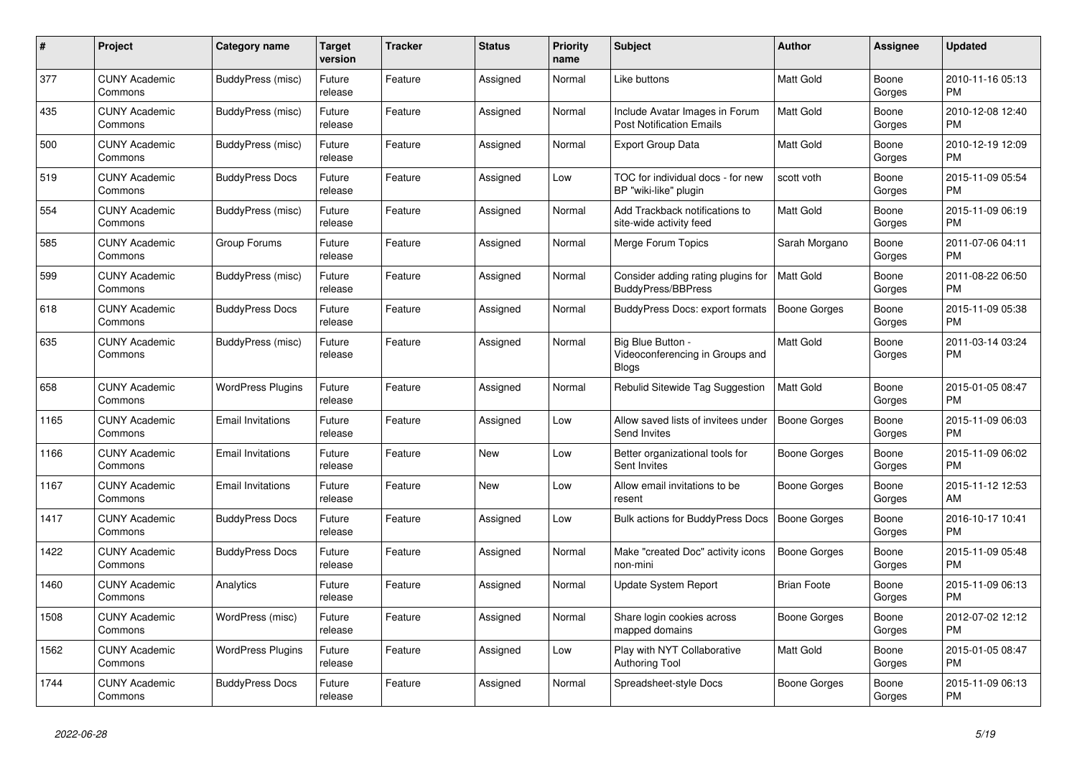| #    | Project                         | Category name            | Target<br>version | <b>Tracker</b> | <b>Status</b> | <b>Priority</b><br>name | <b>Subject</b>                                                       | <b>Author</b>       | Assignee        | <b>Updated</b>                |
|------|---------------------------------|--------------------------|-------------------|----------------|---------------|-------------------------|----------------------------------------------------------------------|---------------------|-----------------|-------------------------------|
| 377  | <b>CUNY Academic</b><br>Commons | BuddyPress (misc)        | Future<br>release | Feature        | Assigned      | Normal                  | Like buttons                                                         | <b>Matt Gold</b>    | Boone<br>Gorges | 2010-11-16 05:13<br><b>PM</b> |
| 435  | <b>CUNY Academic</b><br>Commons | BuddyPress (misc)        | Future<br>release | Feature        | Assigned      | Normal                  | Include Avatar Images in Forum<br><b>Post Notification Emails</b>    | <b>Matt Gold</b>    | Boone<br>Gorges | 2010-12-08 12:40<br><b>PM</b> |
| 500  | <b>CUNY Academic</b><br>Commons | BuddyPress (misc)        | Future<br>release | Feature        | Assigned      | Normal                  | Export Group Data                                                    | Matt Gold           | Boone<br>Gorges | 2010-12-19 12:09<br><b>PM</b> |
| 519  | <b>CUNY Academic</b><br>Commons | <b>BuddyPress Docs</b>   | Future<br>release | Feature        | Assigned      | Low                     | TOC for individual docs - for new<br>BP "wiki-like" plugin           | scott voth          | Boone<br>Gorges | 2015-11-09 05:54<br><b>PM</b> |
| 554  | <b>CUNY Academic</b><br>Commons | BuddyPress (misc)        | Future<br>release | Feature        | Assigned      | Normal                  | Add Trackback notifications to<br>site-wide activity feed            | Matt Gold           | Boone<br>Gorges | 2015-11-09 06:19<br><b>PM</b> |
| 585  | <b>CUNY Academic</b><br>Commons | Group Forums             | Future<br>release | Feature        | Assigned      | Normal                  | Merge Forum Topics                                                   | Sarah Morgano       | Boone<br>Gorges | 2011-07-06 04:11<br><b>PM</b> |
| 599  | <b>CUNY Academic</b><br>Commons | BuddyPress (misc)        | Future<br>release | Feature        | Assigned      | Normal                  | Consider adding rating plugins for<br><b>BuddyPress/BBPress</b>      | <b>Matt Gold</b>    | Boone<br>Gorges | 2011-08-22 06:50<br><b>PM</b> |
| 618  | <b>CUNY Academic</b><br>Commons | <b>BuddyPress Docs</b>   | Future<br>release | Feature        | Assigned      | Normal                  | BuddyPress Docs: export formats                                      | <b>Boone Gorges</b> | Boone<br>Gorges | 2015-11-09 05:38<br>PM        |
| 635  | <b>CUNY Academic</b><br>Commons | BuddyPress (misc)        | Future<br>release | Feature        | Assigned      | Normal                  | Big Blue Button -<br>Videoconferencing in Groups and<br><b>Blogs</b> | Matt Gold           | Boone<br>Gorges | 2011-03-14 03:24<br><b>PM</b> |
| 658  | <b>CUNY Academic</b><br>Commons | <b>WordPress Plugins</b> | Future<br>release | Feature        | Assigned      | Normal                  | Rebulid Sitewide Tag Suggestion                                      | <b>Matt Gold</b>    | Boone<br>Gorges | 2015-01-05 08:47<br><b>PM</b> |
| 1165 | <b>CUNY Academic</b><br>Commons | <b>Email Invitations</b> | Future<br>release | Feature        | Assigned      | Low                     | Allow saved lists of invitees under<br>Send Invites                  | <b>Boone Gorges</b> | Boone<br>Gorges | 2015-11-09 06:03<br><b>PM</b> |
| 1166 | <b>CUNY Academic</b><br>Commons | <b>Email Invitations</b> | Future<br>release | Feature        | New           | Low                     | Better organizational tools for<br>Sent Invites                      | Boone Gorges        | Boone<br>Gorges | 2015-11-09 06:02<br><b>PM</b> |
| 1167 | <b>CUNY Academic</b><br>Commons | <b>Email Invitations</b> | Future<br>release | Feature        | <b>New</b>    | Low                     | Allow email invitations to be<br>resent                              | Boone Gorges        | Boone<br>Gorges | 2015-11-12 12:53<br>AM        |
| 1417 | <b>CUNY Academic</b><br>Commons | <b>BuddyPress Docs</b>   | Future<br>release | Feature        | Assigned      | Low                     | Bulk actions for BuddyPress Docs                                     | Boone Gorges        | Boone<br>Gorges | 2016-10-17 10:41<br><b>PM</b> |
| 1422 | <b>CUNY Academic</b><br>Commons | <b>BuddyPress Docs</b>   | Future<br>release | Feature        | Assigned      | Normal                  | Make "created Doc" activity icons<br>non-mini                        | <b>Boone Gorges</b> | Boone<br>Gorges | 2015-11-09 05:48<br><b>PM</b> |
| 1460 | <b>CUNY Academic</b><br>Commons | Analytics                | Future<br>release | Feature        | Assigned      | Normal                  | Update System Report                                                 | <b>Brian Foote</b>  | Boone<br>Gorges | 2015-11-09 06:13<br><b>PM</b> |
| 1508 | <b>CUNY Academic</b><br>Commons | WordPress (misc)         | Future<br>release | Feature        | Assigned      | Normal                  | Share login cookies across<br>mapped domains                         | Boone Gorges        | Boone<br>Gorges | 2012-07-02 12:12<br><b>PM</b> |
| 1562 | <b>CUNY Academic</b><br>Commons | <b>WordPress Plugins</b> | Future<br>release | Feature        | Assigned      | Low                     | Play with NYT Collaborative<br><b>Authoring Tool</b>                 | Matt Gold           | Boone<br>Gorges | 2015-01-05 08:47<br><b>PM</b> |
| 1744 | <b>CUNY Academic</b><br>Commons | <b>BuddyPress Docs</b>   | Future<br>release | Feature        | Assigned      | Normal                  | Spreadsheet-style Docs                                               | Boone Gorges        | Boone<br>Gorges | 2015-11-09 06:13<br><b>PM</b> |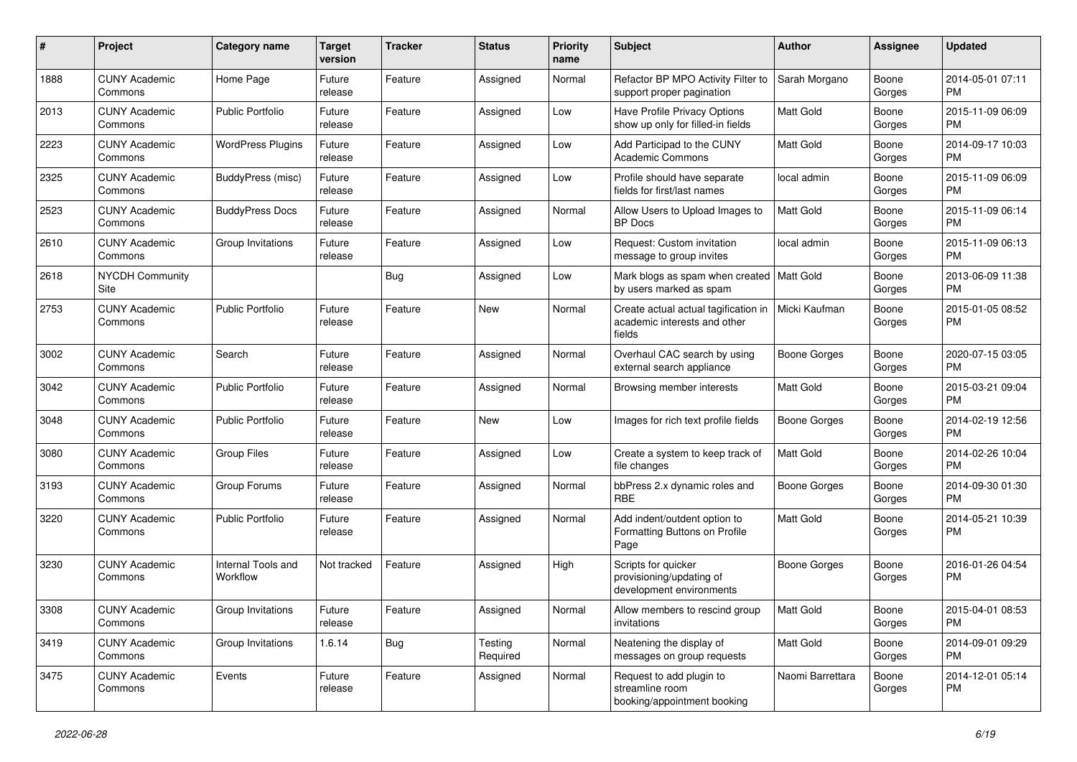| #    | Project                         | <b>Category name</b>           | <b>Target</b><br>version | <b>Tracker</b> | <b>Status</b>       | <b>Priority</b><br>name | Subject                                                                                        | Author              | <b>Assignee</b> | <b>Updated</b>                |
|------|---------------------------------|--------------------------------|--------------------------|----------------|---------------------|-------------------------|------------------------------------------------------------------------------------------------|---------------------|-----------------|-------------------------------|
| 1888 | <b>CUNY Academic</b><br>Commons | Home Page                      | Future<br>release        | Feature        | Assigned            | Normal                  | Refactor BP MPO Activity Filter to<br>support proper pagination                                | Sarah Morgano       | Boone<br>Gorges | 2014-05-01 07:11<br>PM        |
| 2013 | <b>CUNY Academic</b><br>Commons | <b>Public Portfolio</b>        | Future<br>release        | Feature        | Assigned            | Low                     | Have Profile Privacy Options<br>show up only for filled-in fields                              | Matt Gold           | Boone<br>Gorges | 2015-11-09 06:09<br>PM        |
| 2223 | <b>CUNY Academic</b><br>Commons | <b>WordPress Plugins</b>       | Future<br>release        | Feature        | Assigned            | Low                     | Add Participad to the CUNY<br><b>Academic Commons</b>                                          | Matt Gold           | Boone<br>Gorges | 2014-09-17 10:03<br><b>PM</b> |
| 2325 | <b>CUNY Academic</b><br>Commons | BuddyPress (misc)              | Future<br>release        | Feature        | Assigned            | Low                     | Profile should have separate<br>fields for first/last names                                    | local admin         | Boone<br>Gorges | 2015-11-09 06:09<br>PM        |
| 2523 | <b>CUNY Academic</b><br>Commons | <b>BuddyPress Docs</b>         | Future<br>release        | Feature        | Assigned            | Normal                  | Allow Users to Upload Images to<br><b>BP</b> Docs                                              | Matt Gold           | Boone<br>Gorges | 2015-11-09 06:14<br><b>PM</b> |
| 2610 | <b>CUNY Academic</b><br>Commons | Group Invitations              | Future<br>release        | Feature        | Assigned            | Low                     | Request: Custom invitation<br>message to group invites                                         | local admin         | Boone<br>Gorges | 2015-11-09 06:13<br>PM        |
| 2618 | <b>NYCDH Community</b><br>Site  |                                |                          | <b>Bug</b>     | Assigned            | Low                     | Mark blogs as spam when created   Matt Gold<br>by users marked as spam                         |                     | Boone<br>Gorges | 2013-06-09 11:38<br>PM        |
| 2753 | <b>CUNY Academic</b><br>Commons | <b>Public Portfolio</b>        | Future<br>release        | Feature        | New                 | Normal                  | Create actual actual tagification in   Micki Kaufman<br>academic interests and other<br>fields |                     | Boone<br>Gorges | 2015-01-05 08:52<br>PM        |
| 3002 | <b>CUNY Academic</b><br>Commons | Search                         | Future<br>release        | Feature        | Assigned            | Normal                  | Overhaul CAC search by using<br>external search appliance                                      | <b>Boone Gorges</b> | Boone<br>Gorges | 2020-07-15 03:05<br><b>PM</b> |
| 3042 | <b>CUNY Academic</b><br>Commons | <b>Public Portfolio</b>        | Future<br>release        | Feature        | Assigned            | Normal                  | Browsing member interests                                                                      | Matt Gold           | Boone<br>Gorges | 2015-03-21 09:04<br><b>PM</b> |
| 3048 | <b>CUNY Academic</b><br>Commons | <b>Public Portfolio</b>        | Future<br>release        | Feature        | New                 | Low                     | Images for rich text profile fields                                                            | <b>Boone Gorges</b> | Boone<br>Gorges | 2014-02-19 12:56<br><b>PM</b> |
| 3080 | <b>CUNY Academic</b><br>Commons | <b>Group Files</b>             | Future<br>release        | Feature        | Assigned            | Low                     | Create a system to keep track of<br>file changes                                               | Matt Gold           | Boone<br>Gorges | 2014-02-26 10:04<br><b>PM</b> |
| 3193 | <b>CUNY Academic</b><br>Commons | Group Forums                   | Future<br>release        | Feature        | Assigned            | Normal                  | bbPress 2.x dynamic roles and<br><b>RBE</b>                                                    | Boone Gorges        | Boone<br>Gorges | 2014-09-30 01:30<br><b>PM</b> |
| 3220 | <b>CUNY Academic</b><br>Commons | <b>Public Portfolio</b>        | Future<br>release        | Feature        | Assigned            | Normal                  | Add indent/outdent option to<br>Formatting Buttons on Profile<br>Page                          | <b>Matt Gold</b>    | Boone<br>Gorges | 2014-05-21 10:39<br>PM        |
| 3230 | <b>CUNY Academic</b><br>Commons | Internal Tools and<br>Workflow | Not tracked              | Feature        | Assigned            | High                    | Scripts for quicker<br>provisioning/updating of<br>development environments                    | <b>Boone Gorges</b> | Boone<br>Gorges | 2016-01-26 04:54<br>PM        |
| 3308 | <b>CUNY Academic</b><br>Commons | Group Invitations              | Future<br>release        | Feature        | Assigned            | Normal                  | Allow members to rescind group<br>invitations                                                  | Matt Gold           | Boone<br>Gorges | 2015-04-01 08:53<br><b>PM</b> |
| 3419 | <b>CUNY Academic</b><br>Commons | Group Invitations              | 1.6.14                   | Bug            | Testing<br>Required | Normal                  | Neatening the display of<br>messages on group requests                                         | Matt Gold           | Boone<br>Gorges | 2014-09-01 09:29<br><b>PM</b> |
| 3475 | <b>CUNY Academic</b><br>Commons | Events                         | Future<br>release        | Feature        | Assigned            | Normal                  | Request to add plugin to<br>streamline room<br>booking/appointment booking                     | Naomi Barrettara    | Boone<br>Gorges | 2014-12-01 05:14<br>PM        |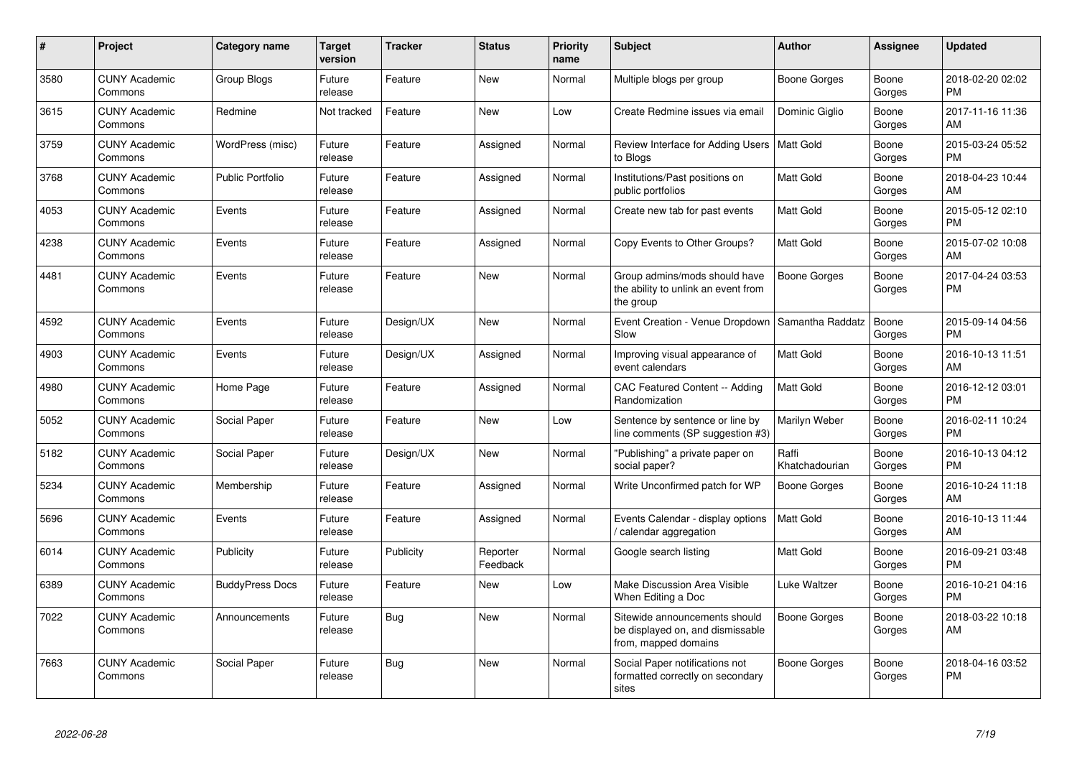| #    | Project                         | <b>Category name</b>    | <b>Target</b><br>version | <b>Tracker</b> | <b>Status</b>        | <b>Priority</b><br>name | <b>Subject</b>                                                                            | <b>Author</b>           | <b>Assignee</b> | <b>Updated</b>                |
|------|---------------------------------|-------------------------|--------------------------|----------------|----------------------|-------------------------|-------------------------------------------------------------------------------------------|-------------------------|-----------------|-------------------------------|
| 3580 | <b>CUNY Academic</b><br>Commons | Group Blogs             | Future<br>release        | Feature        | <b>New</b>           | Normal                  | Multiple blogs per group                                                                  | <b>Boone Gorges</b>     | Boone<br>Gorges | 2018-02-20 02:02<br><b>PM</b> |
| 3615 | <b>CUNY Academic</b><br>Commons | Redmine                 | Not tracked              | Feature        | <b>New</b>           | Low                     | Create Redmine issues via email                                                           | Dominic Giglio          | Boone<br>Gorges | 2017-11-16 11:36<br>AM        |
| 3759 | <b>CUNY Academic</b><br>Commons | WordPress (misc)        | Future<br>release        | Feature        | Assigned             | Normal                  | Review Interface for Adding Users   Matt Gold<br>to Blogs                                 |                         | Boone<br>Gorges | 2015-03-24 05:52<br><b>PM</b> |
| 3768 | <b>CUNY Academic</b><br>Commons | <b>Public Portfolio</b> | Future<br>release        | Feature        | Assigned             | Normal                  | Institutions/Past positions on<br>public portfolios                                       | <b>Matt Gold</b>        | Boone<br>Gorges | 2018-04-23 10:44<br>AM        |
| 4053 | <b>CUNY Academic</b><br>Commons | Events                  | Future<br>release        | Feature        | Assigned             | Normal                  | Create new tab for past events                                                            | Matt Gold               | Boone<br>Gorges | 2015-05-12 02:10<br><b>PM</b> |
| 4238 | <b>CUNY Academic</b><br>Commons | Events                  | Future<br>release        | Feature        | Assigned             | Normal                  | Copy Events to Other Groups?                                                              | <b>Matt Gold</b>        | Boone<br>Gorges | 2015-07-02 10:08<br>AM        |
| 4481 | <b>CUNY Academic</b><br>Commons | Events                  | Future<br>release        | Feature        | <b>New</b>           | Normal                  | Group admins/mods should have<br>the ability to unlink an event from<br>the group         | <b>Boone Gorges</b>     | Boone<br>Gorges | 2017-04-24 03:53<br><b>PM</b> |
| 4592 | <b>CUNY Academic</b><br>Commons | Events                  | Future<br>release        | Design/UX      | <b>New</b>           | Normal                  | Event Creation - Venue Dropdown<br>Slow                                                   | Samantha Raddatz        | Boone<br>Gorges | 2015-09-14 04:56<br><b>PM</b> |
| 4903 | <b>CUNY Academic</b><br>Commons | Events                  | Future<br>release        | Design/UX      | Assigned             | Normal                  | Improving visual appearance of<br>event calendars                                         | <b>Matt Gold</b>        | Boone<br>Gorges | 2016-10-13 11:51<br>AM        |
| 4980 | <b>CUNY Academic</b><br>Commons | Home Page               | Future<br>release        | Feature        | Assigned             | Normal                  | CAC Featured Content -- Adding<br>Randomization                                           | Matt Gold               | Boone<br>Gorges | 2016-12-12 03:01<br><b>PM</b> |
| 5052 | <b>CUNY Academic</b><br>Commons | Social Paper            | Future<br>release        | Feature        | <b>New</b>           | Low                     | Sentence by sentence or line by<br>line comments (SP suggestion #3)                       | Marilyn Weber           | Boone<br>Gorges | 2016-02-11 10:24<br><b>PM</b> |
| 5182 | <b>CUNY Academic</b><br>Commons | Social Paper            | Future<br>release        | Design/UX      | <b>New</b>           | Normal                  | 'Publishing" a private paper on<br>social paper?                                          | Raffi<br>Khatchadourian | Boone<br>Gorges | 2016-10-13 04:12<br><b>PM</b> |
| 5234 | <b>CUNY Academic</b><br>Commons | Membership              | Future<br>release        | Feature        | Assigned             | Normal                  | Write Unconfirmed patch for WP                                                            | <b>Boone Gorges</b>     | Boone<br>Gorges | 2016-10-24 11:18<br>AM        |
| 5696 | <b>CUNY Academic</b><br>Commons | Events                  | Future<br>release        | Feature        | Assigned             | Normal                  | Events Calendar - display options<br>calendar aggregation                                 | <b>Matt Gold</b>        | Boone<br>Gorges | 2016-10-13 11:44<br>AM        |
| 6014 | <b>CUNY Academic</b><br>Commons | Publicity               | Future<br>release        | Publicity      | Reporter<br>Feedback | Normal                  | Google search listing                                                                     | Matt Gold               | Boone<br>Gorges | 2016-09-21 03:48<br><b>PM</b> |
| 6389 | <b>CUNY Academic</b><br>Commons | <b>BuddyPress Docs</b>  | Future<br>release        | Feature        | <b>New</b>           | Low                     | Make Discussion Area Visible<br>When Editing a Doc                                        | Luke Waltzer            | Boone<br>Gorges | 2016-10-21 04:16<br><b>PM</b> |
| 7022 | <b>CUNY Academic</b><br>Commons | Announcements           | Future<br>release        | <b>Bug</b>     | <b>New</b>           | Normal                  | Sitewide announcements should<br>be displayed on, and dismissable<br>from, mapped domains | <b>Boone Gorges</b>     | Boone<br>Gorges | 2018-03-22 10:18<br>AM        |
| 7663 | <b>CUNY Academic</b><br>Commons | Social Paper            | Future<br>release        | Bug            | <b>New</b>           | Normal                  | Social Paper notifications not<br>formatted correctly on secondary<br>sites               | <b>Boone Gorges</b>     | Boone<br>Gorges | 2018-04-16 03:52<br><b>PM</b> |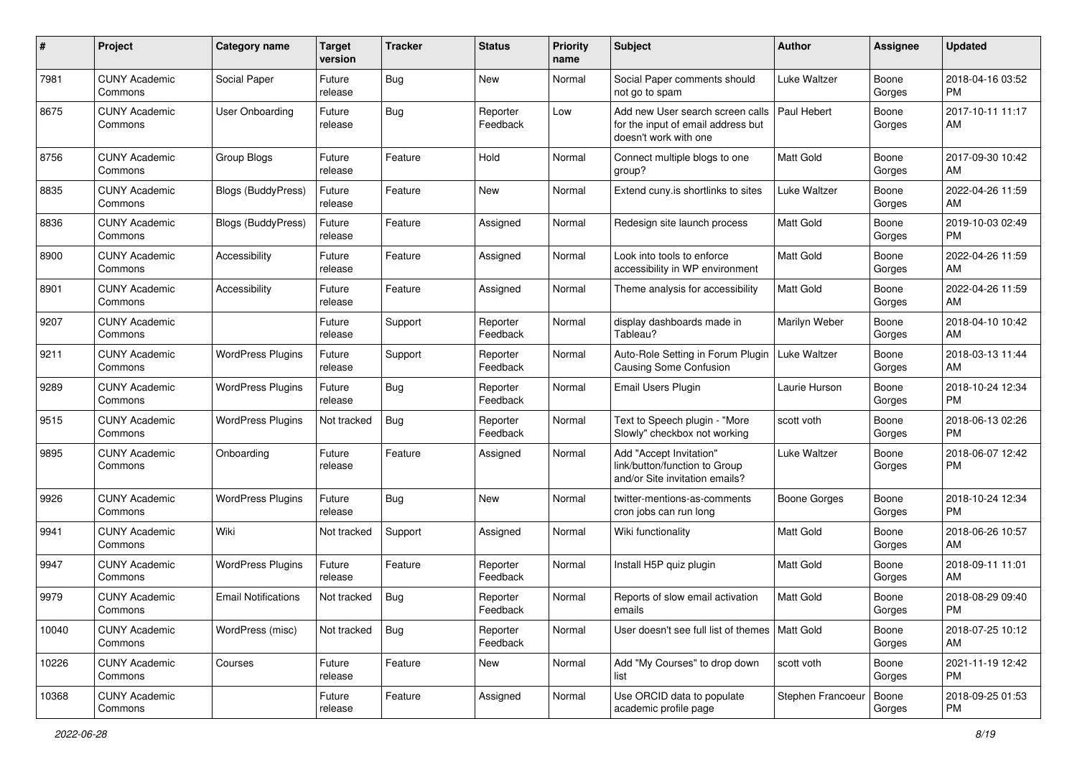| #     | Project                         | <b>Category name</b>       | <b>Target</b><br>version | <b>Tracker</b> | <b>Status</b>        | <b>Priority</b><br>name | Subject                                                                                                       | Author              | <b>Assignee</b> | <b>Updated</b>                |
|-------|---------------------------------|----------------------------|--------------------------|----------------|----------------------|-------------------------|---------------------------------------------------------------------------------------------------------------|---------------------|-----------------|-------------------------------|
| 7981  | <b>CUNY Academic</b><br>Commons | Social Paper               | Future<br>release        | <b>Bug</b>     | New                  | Normal                  | Social Paper comments should<br>not go to spam                                                                | <b>Luke Waltzer</b> | Boone<br>Gorges | 2018-04-16 03:52<br><b>PM</b> |
| 8675  | <b>CUNY Academic</b><br>Commons | <b>User Onboarding</b>     | Future<br>release        | <b>Bug</b>     | Reporter<br>Feedback | Low                     | Add new User search screen calls   Paul Hebert<br>for the input of email address but<br>doesn't work with one |                     | Boone<br>Gorges | 2017-10-11 11:17<br>AM        |
| 8756  | <b>CUNY Academic</b><br>Commons | Group Blogs                | Future<br>release        | Feature        | Hold                 | Normal                  | Connect multiple blogs to one<br>group?                                                                       | <b>Matt Gold</b>    | Boone<br>Gorges | 2017-09-30 10:42<br>AM        |
| 8835  | <b>CUNY Academic</b><br>Commons | <b>Blogs (BuddyPress)</b>  | Future<br>release        | Feature        | <b>New</b>           | Normal                  | Extend cuny is shortlinks to sites                                                                            | Luke Waltzer        | Boone<br>Gorges | 2022-04-26 11:59<br>AM        |
| 8836  | <b>CUNY Academic</b><br>Commons | <b>Blogs (BuddyPress)</b>  | Future<br>release        | Feature        | Assigned             | Normal                  | Redesign site launch process                                                                                  | <b>Matt Gold</b>    | Boone<br>Gorges | 2019-10-03 02:49<br><b>PM</b> |
| 8900  | <b>CUNY Academic</b><br>Commons | Accessibility              | Future<br>release        | Feature        | Assigned             | Normal                  | Look into tools to enforce<br>accessibility in WP environment                                                 | <b>Matt Gold</b>    | Boone<br>Gorges | 2022-04-26 11:59<br>AM        |
| 8901  | <b>CUNY Academic</b><br>Commons | Accessibility              | Future<br>release        | Feature        | Assigned             | Normal                  | Theme analysis for accessibility                                                                              | <b>Matt Gold</b>    | Boone<br>Gorges | 2022-04-26 11:59<br>AM        |
| 9207  | <b>CUNY Academic</b><br>Commons |                            | Future<br>release        | Support        | Reporter<br>Feedback | Normal                  | display dashboards made in<br>Tableau?                                                                        | Marilyn Weber       | Boone<br>Gorges | 2018-04-10 10:42<br>AM        |
| 9211  | <b>CUNY Academic</b><br>Commons | <b>WordPress Plugins</b>   | Future<br>release        | Support        | Reporter<br>Feedback | Normal                  | Auto-Role Setting in Forum Plugin   Luke Waltzer<br><b>Causing Some Confusion</b>                             |                     | Boone<br>Gorges | 2018-03-13 11:44<br>AM        |
| 9289  | <b>CUNY Academic</b><br>Commons | <b>WordPress Plugins</b>   | Future<br>release        | <b>Bug</b>     | Reporter<br>Feedback | Normal                  | <b>Email Users Plugin</b>                                                                                     | Laurie Hurson       | Boone<br>Gorges | 2018-10-24 12:34<br><b>PM</b> |
| 9515  | <b>CUNY Academic</b><br>Commons | <b>WordPress Plugins</b>   | Not tracked              | <b>Bug</b>     | Reporter<br>Feedback | Normal                  | Text to Speech plugin - "More<br>Slowly" checkbox not working                                                 | scott voth          | Boone<br>Gorges | 2018-06-13 02:26<br><b>PM</b> |
| 9895  | <b>CUNY Academic</b><br>Commons | Onboarding                 | Future<br>release        | Feature        | Assigned             | Normal                  | Add "Accept Invitation"<br>link/button/function to Group<br>and/or Site invitation emails?                    | Luke Waltzer        | Boone<br>Gorges | 2018-06-07 12:42<br><b>PM</b> |
| 9926  | <b>CUNY Academic</b><br>Commons | <b>WordPress Plugins</b>   | Future<br>release        | Bug            | New                  | Normal                  | twitter-mentions-as-comments<br>cron jobs can run long                                                        | <b>Boone Gorges</b> | Boone<br>Gorges | 2018-10-24 12:34<br><b>PM</b> |
| 9941  | <b>CUNY Academic</b><br>Commons | Wiki                       | Not tracked              | Support        | Assigned             | Normal                  | Wiki functionality                                                                                            | Matt Gold           | Boone<br>Gorges | 2018-06-26 10:57<br>AM        |
| 9947  | <b>CUNY Academic</b><br>Commons | <b>WordPress Plugins</b>   | Future<br>release        | Feature        | Reporter<br>Feedback | Normal                  | Install H5P quiz plugin                                                                                       | Matt Gold           | Boone<br>Gorges | 2018-09-11 11:01<br>AM        |
| 9979  | <b>CUNY Academic</b><br>Commons | <b>Email Notifications</b> | Not tracked              | i Bug          | Reporter<br>Feedback | Normal                  | Reports of slow email activation<br>emails                                                                    | Matt Gold           | Boone<br>Gorges | 2018-08-29 09:40<br><b>PM</b> |
| 10040 | <b>CUNY Academic</b><br>Commons | WordPress (misc)           | Not tracked              | <b>Bug</b>     | Reporter<br>Feedback | Normal                  | User doesn't see full list of themes   Matt Gold                                                              |                     | Boone<br>Gorges | 2018-07-25 10:12<br>AM        |
| 10226 | <b>CUNY Academic</b><br>Commons | Courses                    | Future<br>release        | Feature        | New                  | Normal                  | Add "My Courses" to drop down<br>list                                                                         | scott voth          | Boone<br>Gorges | 2021-11-19 12:42<br><b>PM</b> |
| 10368 | <b>CUNY Academic</b><br>Commons |                            | Future<br>release        | Feature        | Assigned             | Normal                  | Use ORCID data to populate<br>academic profile page                                                           | Stephen Francoeur   | Boone<br>Gorges | 2018-09-25 01:53<br><b>PM</b> |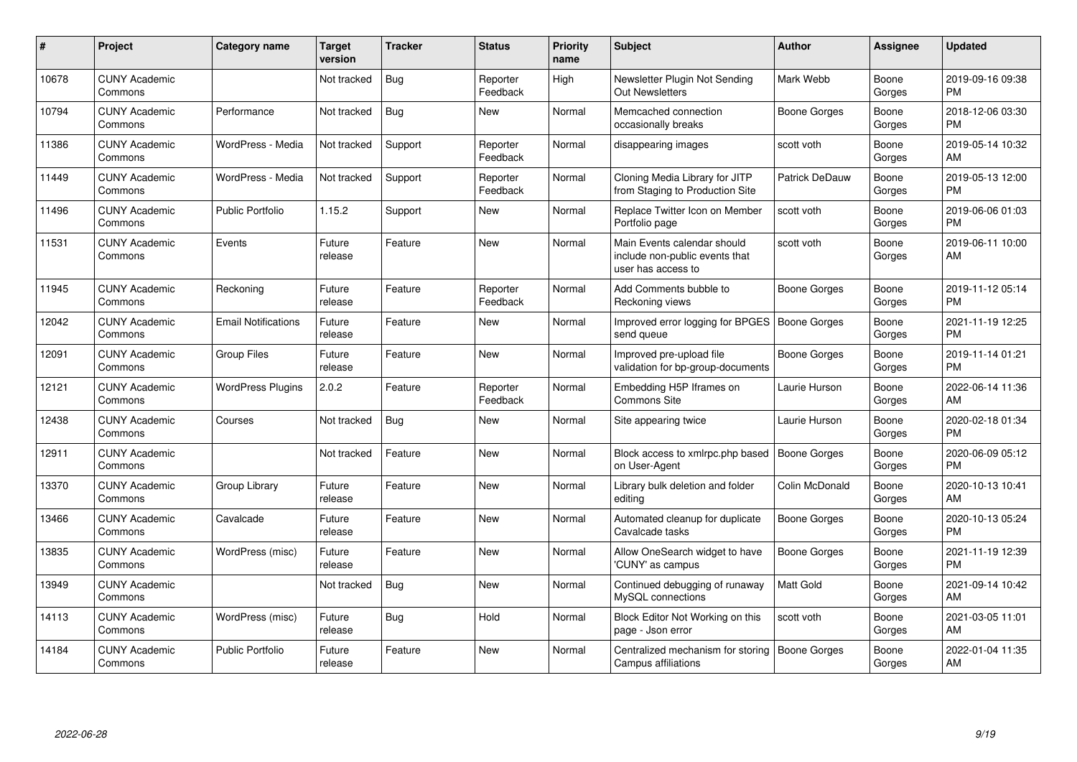| #     | Project                         | <b>Category name</b>       | <b>Target</b><br>version | <b>Tracker</b> | <b>Status</b>        | <b>Priority</b><br>name | <b>Subject</b>                                                                      | Author                | Assignee        | <b>Updated</b>                |
|-------|---------------------------------|----------------------------|--------------------------|----------------|----------------------|-------------------------|-------------------------------------------------------------------------------------|-----------------------|-----------------|-------------------------------|
| 10678 | <b>CUNY Academic</b><br>Commons |                            | Not tracked              | Bug            | Reporter<br>Feedback | High                    | Newsletter Plugin Not Sending<br><b>Out Newsletters</b>                             | Mark Webb             | Boone<br>Gorges | 2019-09-16 09:38<br><b>PM</b> |
| 10794 | <b>CUNY Academic</b><br>Commons | Performance                | Not tracked              | Bug            | <b>New</b>           | Normal                  | Memcached connection<br>occasionally breaks                                         | Boone Gorges          | Boone<br>Gorges | 2018-12-06 03:30<br><b>PM</b> |
| 11386 | <b>CUNY Academic</b><br>Commons | WordPress - Media          | Not tracked              | Support        | Reporter<br>Feedback | Normal                  | disappearing images                                                                 | scott voth            | Boone<br>Gorges | 2019-05-14 10:32<br>AM        |
| 11449 | <b>CUNY Academic</b><br>Commons | WordPress - Media          | Not tracked              | Support        | Reporter<br>Feedback | Normal                  | Cloning Media Library for JITP<br>from Staging to Production Site                   | <b>Patrick DeDauw</b> | Boone<br>Gorges | 2019-05-13 12:00<br><b>PM</b> |
| 11496 | <b>CUNY Academic</b><br>Commons | <b>Public Portfolio</b>    | 1.15.2                   | Support        | <b>New</b>           | Normal                  | Replace Twitter Icon on Member<br>Portfolio page                                    | scott voth            | Boone<br>Gorges | 2019-06-06 01:03<br><b>PM</b> |
| 11531 | <b>CUNY Academic</b><br>Commons | Events                     | Future<br>release        | Feature        | <b>New</b>           | Normal                  | Main Events calendar should<br>include non-public events that<br>user has access to | scott voth            | Boone<br>Gorges | 2019-06-11 10:00<br>AM        |
| 11945 | <b>CUNY Academic</b><br>Commons | Reckoning                  | Future<br>release        | Feature        | Reporter<br>Feedback | Normal                  | Add Comments bubble to<br>Reckoning views                                           | Boone Gorges          | Boone<br>Gorges | 2019-11-12 05:14<br><b>PM</b> |
| 12042 | <b>CUNY Academic</b><br>Commons | <b>Email Notifications</b> | Future<br>release        | Feature        | <b>New</b>           | Normal                  | Improved error logging for BPGES   Boone Gorges<br>send queue                       |                       | Boone<br>Gorges | 2021-11-19 12:25<br><b>PM</b> |
| 12091 | <b>CUNY Academic</b><br>Commons | <b>Group Files</b>         | Future<br>release        | Feature        | <b>New</b>           | Normal                  | Improved pre-upload file<br>validation for bp-group-documents                       | Boone Gorges          | Boone<br>Gorges | 2019-11-14 01:21<br><b>PM</b> |
| 12121 | <b>CUNY Academic</b><br>Commons | <b>WordPress Plugins</b>   | 2.0.2                    | Feature        | Reporter<br>Feedback | Normal                  | Embedding H5P Iframes on<br><b>Commons Site</b>                                     | Laurie Hurson         | Boone<br>Gorges | 2022-06-14 11:36<br>AM        |
| 12438 | <b>CUNY Academic</b><br>Commons | Courses                    | Not tracked              | <b>Bug</b>     | <b>New</b>           | Normal                  | Site appearing twice                                                                | Laurie Hurson         | Boone<br>Gorges | 2020-02-18 01:34<br><b>PM</b> |
| 12911 | <b>CUNY Academic</b><br>Commons |                            | Not tracked              | Feature        | <b>New</b>           | Normal                  | Block access to xmlrpc.php based<br>on User-Agent                                   | <b>Boone Gorges</b>   | Boone<br>Gorges | 2020-06-09 05:12<br><b>PM</b> |
| 13370 | <b>CUNY Academic</b><br>Commons | Group Library              | Future<br>release        | Feature        | <b>New</b>           | Normal                  | Library bulk deletion and folder<br>editing                                         | Colin McDonald        | Boone<br>Gorges | 2020-10-13 10:41<br>AM        |
| 13466 | <b>CUNY Academic</b><br>Commons | Cavalcade                  | Future<br>release        | Feature        | <b>New</b>           | Normal                  | Automated cleanup for duplicate<br>Cavalcade tasks                                  | <b>Boone Gorges</b>   | Boone<br>Gorges | 2020-10-13 05:24<br><b>PM</b> |
| 13835 | <b>CUNY Academic</b><br>Commons | WordPress (misc)           | Future<br>release        | Feature        | <b>New</b>           | Normal                  | Allow OneSearch widget to have<br>'CUNY' as campus                                  | Boone Gorges          | Boone<br>Gorges | 2021-11-19 12:39<br><b>PM</b> |
| 13949 | <b>CUNY Academic</b><br>Commons |                            | Not tracked              | Bug            | <b>New</b>           | Normal                  | Continued debugging of runaway<br>MySQL connections                                 | Matt Gold             | Boone<br>Gorges | 2021-09-14 10:42<br>AM        |
| 14113 | <b>CUNY Academic</b><br>Commons | WordPress (misc)           | Future<br>release        | <b>Bug</b>     | Hold                 | Normal                  | Block Editor Not Working on this<br>page - Json error                               | scott voth            | Boone<br>Gorges | 2021-03-05 11:01<br>AM        |
| 14184 | <b>CUNY Academic</b><br>Commons | <b>Public Portfolio</b>    | Future<br>release        | Feature        | <b>New</b>           | Normal                  | Centralized mechanism for storing<br>Campus affiliations                            | Boone Gorges          | Boone<br>Gorges | 2022-01-04 11:35<br>AM        |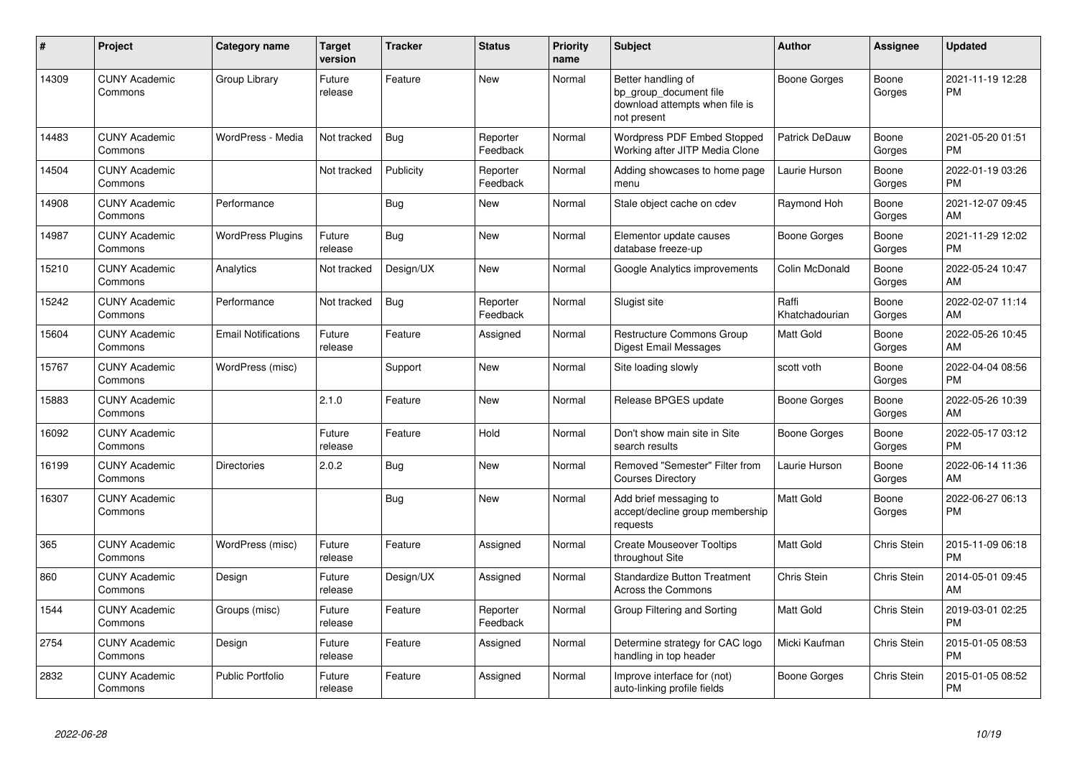| #     | Project                         | <b>Category name</b>       | Target<br>version | <b>Tracker</b> | <b>Status</b>        | <b>Priority</b><br>name | <b>Subject</b>                                                                                | <b>Author</b>           | <b>Assignee</b> | <b>Updated</b>                |
|-------|---------------------------------|----------------------------|-------------------|----------------|----------------------|-------------------------|-----------------------------------------------------------------------------------------------|-------------------------|-----------------|-------------------------------|
| 14309 | <b>CUNY Academic</b><br>Commons | Group Library              | Future<br>release | Feature        | New                  | Normal                  | Better handling of<br>bp_group_document file<br>download attempts when file is<br>not present | Boone Gorges            | Boone<br>Gorges | 2021-11-19 12:28<br><b>PM</b> |
| 14483 | <b>CUNY Academic</b><br>Commons | WordPress - Media          | Not tracked       | Bug            | Reporter<br>Feedback | Normal                  | Wordpress PDF Embed Stopped<br>Working after JITP Media Clone                                 | Patrick DeDauw          | Boone<br>Gorges | 2021-05-20 01:51<br><b>PM</b> |
| 14504 | <b>CUNY Academic</b><br>Commons |                            | Not tracked       | Publicity      | Reporter<br>Feedback | Normal                  | Adding showcases to home page<br>menu                                                         | Laurie Hurson           | Boone<br>Gorges | 2022-01-19 03:26<br><b>PM</b> |
| 14908 | <b>CUNY Academic</b><br>Commons | Performance                |                   | Bug            | <b>New</b>           | Normal                  | Stale object cache on cdev                                                                    | Raymond Hoh             | Boone<br>Gorges | 2021-12-07 09:45<br>AM        |
| 14987 | <b>CUNY Academic</b><br>Commons | <b>WordPress Plugins</b>   | Future<br>release | Bug            | <b>New</b>           | Normal                  | Elementor update causes<br>database freeze-up                                                 | Boone Gorges            | Boone<br>Gorges | 2021-11-29 12:02<br><b>PM</b> |
| 15210 | <b>CUNY Academic</b><br>Commons | Analytics                  | Not tracked       | Design/UX      | <b>New</b>           | Normal                  | Google Analytics improvements                                                                 | Colin McDonald          | Boone<br>Gorges | 2022-05-24 10:47<br>AM        |
| 15242 | <b>CUNY Academic</b><br>Commons | Performance                | Not tracked       | <b>Bug</b>     | Reporter<br>Feedback | Normal                  | Slugist site                                                                                  | Raffi<br>Khatchadourian | Boone<br>Gorges | 2022-02-07 11:14<br>AM        |
| 15604 | <b>CUNY Academic</b><br>Commons | <b>Email Notifications</b> | Future<br>release | Feature        | Assigned             | Normal                  | Restructure Commons Group<br>Digest Email Messages                                            | Matt Gold               | Boone<br>Gorges | 2022-05-26 10:45<br>AM        |
| 15767 | <b>CUNY Academic</b><br>Commons | WordPress (misc)           |                   | Support        | <b>New</b>           | Normal                  | Site loading slowly                                                                           | scott voth              | Boone<br>Gorges | 2022-04-04 08:56<br><b>PM</b> |
| 15883 | <b>CUNY Academic</b><br>Commons |                            | 2.1.0             | Feature        | <b>New</b>           | Normal                  | Release BPGES update                                                                          | Boone Gorges            | Boone<br>Gorges | 2022-05-26 10:39<br>AM        |
| 16092 | <b>CUNY Academic</b><br>Commons |                            | Future<br>release | Feature        | Hold                 | Normal                  | Don't show main site in Site<br>search results                                                | Boone Gorges            | Boone<br>Gorges | 2022-05-17 03:12<br><b>PM</b> |
| 16199 | <b>CUNY Academic</b><br>Commons | <b>Directories</b>         | 2.0.2             | <b>Bug</b>     | New                  | Normal                  | Removed "Semester" Filter from<br><b>Courses Directory</b>                                    | Laurie Hurson           | Boone<br>Gorges | 2022-06-14 11:36<br>AM        |
| 16307 | <b>CUNY Academic</b><br>Commons |                            |                   | <b>Bug</b>     | <b>New</b>           | Normal                  | Add brief messaging to<br>accept/decline group membership<br>requests                         | Matt Gold               | Boone<br>Gorges | 2022-06-27 06:13<br><b>PM</b> |
| 365   | <b>CUNY Academic</b><br>Commons | WordPress (misc)           | Future<br>release | Feature        | Assigned             | Normal                  | <b>Create Mouseover Tooltips</b><br>throughout Site                                           | Matt Gold               | Chris Stein     | 2015-11-09 06:18<br><b>PM</b> |
| 860   | <b>CUNY Academic</b><br>Commons | Design                     | Future<br>release | Design/UX      | Assigned             | Normal                  | <b>Standardize Button Treatment</b><br>Across the Commons                                     | <b>Chris Stein</b>      | Chris Stein     | 2014-05-01 09:45<br>AM        |
| 1544  | <b>CUNY Academic</b><br>Commons | Groups (misc)              | Future<br>release | Feature        | Reporter<br>Feedback | Normal                  | Group Filtering and Sorting                                                                   | <b>Matt Gold</b>        | Chris Stein     | 2019-03-01 02:25<br><b>PM</b> |
| 2754  | <b>CUNY Academic</b><br>Commons | Design                     | Future<br>release | Feature        | Assigned             | Normal                  | Determine strategy for CAC logo<br>handling in top header                                     | Micki Kaufman           | Chris Stein     | 2015-01-05 08:53<br><b>PM</b> |
| 2832  | <b>CUNY Academic</b><br>Commons | <b>Public Portfolio</b>    | Future<br>release | Feature        | Assigned             | Normal                  | Improve interface for (not)<br>auto-linking profile fields                                    | Boone Gorges            | Chris Stein     | 2015-01-05 08:52<br><b>PM</b> |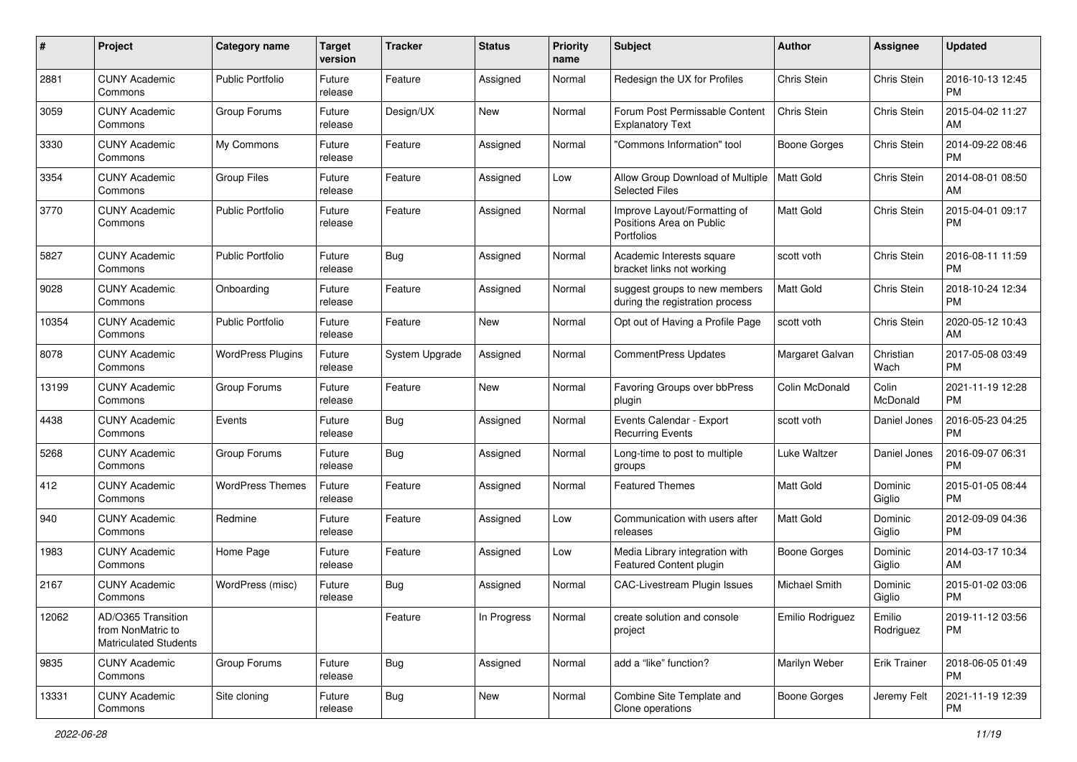| #     | Project                                                                 | <b>Category name</b>     | <b>Target</b><br>version | <b>Tracker</b>        | <b>Status</b> | <b>Priority</b><br>name | <b>Subject</b>                                                         | Author               | <b>Assignee</b>     | <b>Updated</b>                |
|-------|-------------------------------------------------------------------------|--------------------------|--------------------------|-----------------------|---------------|-------------------------|------------------------------------------------------------------------|----------------------|---------------------|-------------------------------|
| 2881  | <b>CUNY Academic</b><br>Commons                                         | <b>Public Portfolio</b>  | Future<br>release        | Feature               | Assigned      | Normal                  | Redesign the UX for Profiles                                           | Chris Stein          | Chris Stein         | 2016-10-13 12:45<br>PM        |
| 3059  | <b>CUNY Academic</b><br>Commons                                         | Group Forums             | Future<br>release        | Design/UX             | <b>New</b>    | Normal                  | Forum Post Permissable Content<br><b>Explanatory Text</b>              | Chris Stein          | Chris Stein         | 2015-04-02 11:27<br>AM        |
| 3330  | <b>CUNY Academic</b><br>Commons                                         | My Commons               | Future<br>release        | Feature               | Assigned      | Normal                  | 'Commons Information" tool                                             | <b>Boone Gorges</b>  | Chris Stein         | 2014-09-22 08:46<br><b>PM</b> |
| 3354  | <b>CUNY Academic</b><br>Commons                                         | <b>Group Files</b>       | Future<br>release        | Feature               | Assigned      | Low                     | Allow Group Download of Multiple<br><b>Selected Files</b>              | Matt Gold            | Chris Stein         | 2014-08-01 08:50<br>AM        |
| 3770  | <b>CUNY Academic</b><br>Commons                                         | <b>Public Portfolio</b>  | Future<br>release        | Feature               | Assigned      | Normal                  | Improve Layout/Formatting of<br>Positions Area on Public<br>Portfolios | Matt Gold            | Chris Stein         | 2015-04-01 09:17<br><b>PM</b> |
| 5827  | <b>CUNY Academic</b><br>Commons                                         | <b>Public Portfolio</b>  | Future<br>release        | <b>Bug</b>            | Assigned      | Normal                  | Academic Interests square<br>bracket links not working                 | scott voth           | Chris Stein         | 2016-08-11 11:59<br><b>PM</b> |
| 9028  | <b>CUNY Academic</b><br>Commons                                         | Onboarding               | Future<br>release        | Feature               | Assigned      | Normal                  | suggest groups to new members<br>during the registration process       | <b>Matt Gold</b>     | Chris Stein         | 2018-10-24 12:34<br><b>PM</b> |
| 10354 | <b>CUNY Academic</b><br>Commons                                         | <b>Public Portfolio</b>  | Future<br>release        | Feature               | <b>New</b>    | Normal                  | Opt out of Having a Profile Page                                       | scott voth           | Chris Stein         | 2020-05-12 10:43<br>AM        |
| 8078  | <b>CUNY Academic</b><br>Commons                                         | <b>WordPress Plugins</b> | Future<br>release        | <b>System Upgrade</b> | Assigned      | Normal                  | CommentPress Updates                                                   | Margaret Galvan      | Christian<br>Wach   | 2017-05-08 03:49<br>PM        |
| 13199 | <b>CUNY Academic</b><br>Commons                                         | Group Forums             | Future<br>release        | Feature               | <b>New</b>    | Normal                  | Favoring Groups over bbPress<br>plugin                                 | Colin McDonald       | Colin<br>McDonald   | 2021-11-19 12:28<br><b>PM</b> |
| 4438  | <b>CUNY Academic</b><br>Commons                                         | Events                   | Future<br>release        | <b>Bug</b>            | Assigned      | Normal                  | Events Calendar - Export<br><b>Recurring Events</b>                    | scott voth           | Daniel Jones        | 2016-05-23 04:25<br><b>PM</b> |
| 5268  | <b>CUNY Academic</b><br>Commons                                         | Group Forums             | Future<br>release        | Bug                   | Assigned      | Normal                  | Long-time to post to multiple<br>groups                                | Luke Waltzer         | Daniel Jones        | 2016-09-07 06:31<br><b>PM</b> |
| 412   | <b>CUNY Academic</b><br>Commons                                         | <b>WordPress Themes</b>  | Future<br>release        | Feature               | Assigned      | Normal                  | <b>Featured Themes</b>                                                 | <b>Matt Gold</b>     | Dominic<br>Giglio   | 2015-01-05 08:44<br><b>PM</b> |
| 940   | <b>CUNY Academic</b><br>Commons                                         | Redmine                  | Future<br>release        | Feature               | Assigned      | Low                     | Communication with users after<br>releases                             | <b>Matt Gold</b>     | Dominic<br>Giglio   | 2012-09-09 04:36<br><b>PM</b> |
| 1983  | <b>CUNY Academic</b><br>Commons                                         | Home Page                | Future<br>release        | Feature               | Assigned      | Low                     | Media Library integration with<br>Featured Content plugin              | <b>Boone Gorges</b>  | Dominic<br>Giglio   | 2014-03-17 10:34<br>AM        |
| 2167  | <b>CUNY Academic</b><br>Commons                                         | WordPress (misc)         | Future<br>release        | <b>Bug</b>            | Assigned      | Normal                  | <b>CAC-Livestream Plugin Issues</b>                                    | <b>Michael Smith</b> | Dominic<br>Giglio   | 2015-01-02 03:06<br>PM        |
| 12062 | AD/O365 Transition<br>from NonMatric to<br><b>Matriculated Students</b> |                          |                          | Feature               | In Progress   | Normal                  | create solution and console<br>project                                 | Emilio Rodriguez     | Emilio<br>Rodriguez | 2019-11-12 03:56<br><b>PM</b> |
| 9835  | <b>CUNY Academic</b><br>Commons                                         | Group Forums             | Future<br>release        | Bug                   | Assigned      | Normal                  | add a "like" function?                                                 | Marilyn Weber        | Erik Trainer        | 2018-06-05 01:49<br><b>PM</b> |
| 13331 | <b>CUNY Academic</b><br>Commons                                         | Site cloning             | Future<br>release        | <b>Bug</b>            | New           | Normal                  | Combine Site Template and<br>Clone operations                          | Boone Gorges         | Jeremy Felt         | 2021-11-19 12:39<br><b>PM</b> |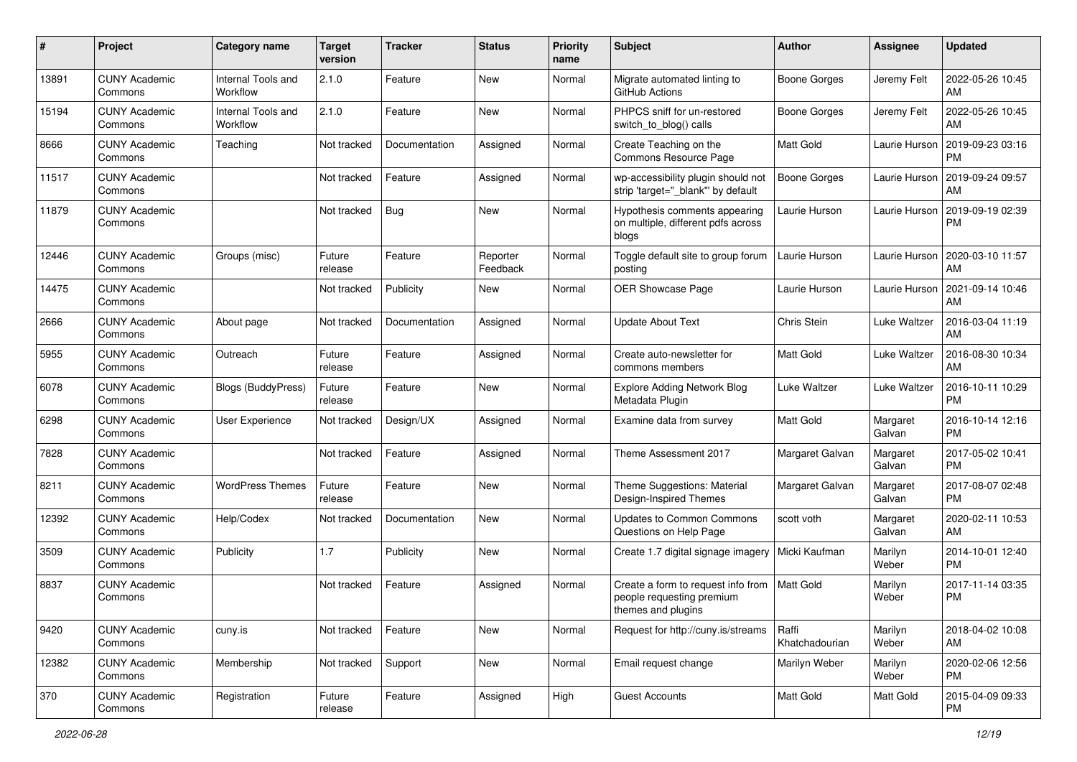| #     | Project                         | <b>Category name</b>           | <b>Target</b><br>version | <b>Tracker</b> | <b>Status</b>        | <b>Priority</b><br>name | <b>Subject</b>                                                                        | Author                  | <b>Assignee</b>    | <b>Updated</b>                |
|-------|---------------------------------|--------------------------------|--------------------------|----------------|----------------------|-------------------------|---------------------------------------------------------------------------------------|-------------------------|--------------------|-------------------------------|
| 13891 | <b>CUNY Academic</b><br>Commons | Internal Tools and<br>Workflow | 2.1.0                    | Feature        | <b>New</b>           | Normal                  | Migrate automated linting to<br>GitHub Actions                                        | <b>Boone Gorges</b>     | Jeremy Felt        | 2022-05-26 10:45<br>AM        |
| 15194 | <b>CUNY Academic</b><br>Commons | Internal Tools and<br>Workflow | 2.1.0                    | Feature        | New                  | Normal                  | PHPCS sniff for un-restored<br>switch_to_blog() calls                                 | <b>Boone Gorges</b>     | Jeremy Felt        | 2022-05-26 10:45<br>AM        |
| 8666  | <b>CUNY Academic</b><br>Commons | Teaching                       | Not tracked              | Documentation  | Assigned             | Normal                  | Create Teaching on the<br>Commons Resource Page                                       | Matt Gold               | Laurie Hurson      | 2019-09-23 03:16<br><b>PM</b> |
| 11517 | <b>CUNY Academic</b><br>Commons |                                | Not tracked              | Feature        | Assigned             | Normal                  | wp-accessibility plugin should not<br>strip 'target=" blank" by default               | <b>Boone Gorges</b>     | Laurie Hurson      | 2019-09-24 09:57<br>AM        |
| 11879 | <b>CUNY Academic</b><br>Commons |                                | Not tracked              | <b>Bug</b>     | <b>New</b>           | Normal                  | Hypothesis comments appearing<br>on multiple, different pdfs across<br>blogs          | Laurie Hurson           | Laurie Hurson      | 2019-09-19 02:39<br><b>PM</b> |
| 12446 | <b>CUNY Academic</b><br>Commons | Groups (misc)                  | Future<br>release        | Feature        | Reporter<br>Feedback | Normal                  | Toggle default site to group forum<br>posting                                         | Laurie Hurson           | Laurie Hurson      | 2020-03-10 11:57<br>AM        |
| 14475 | <b>CUNY Academic</b><br>Commons |                                | Not tracked              | Publicity      | New                  | Normal                  | <b>OER Showcase Page</b>                                                              | Laurie Hurson           | Laurie Hurson      | 2021-09-14 10:46<br>AM        |
| 2666  | <b>CUNY Academic</b><br>Commons | About page                     | Not tracked              | Documentation  | Assigned             | Normal                  | <b>Update About Text</b>                                                              | <b>Chris Stein</b>      | Luke Waltzer       | 2016-03-04 11:19<br>AM        |
| 5955  | <b>CUNY Academic</b><br>Commons | Outreach                       | Future<br>release        | Feature        | Assigned             | Normal                  | Create auto-newsletter for<br>commons members                                         | <b>Matt Gold</b>        | Luke Waltzer       | 2016-08-30 10:34<br>AM        |
| 6078  | <b>CUNY Academic</b><br>Commons | Blogs (BuddyPress)             | Future<br>release        | Feature        | New                  | Normal                  | <b>Explore Adding Network Blog</b><br>Metadata Plugin                                 | Luke Waltzer            | Luke Waltzer       | 2016-10-11 10:29<br><b>PM</b> |
| 6298  | <b>CUNY Academic</b><br>Commons | User Experience                | Not tracked              | Design/UX      | Assigned             | Normal                  | Examine data from survey                                                              | Matt Gold               | Margaret<br>Galvan | 2016-10-14 12:16<br><b>PM</b> |
| 7828  | <b>CUNY Academic</b><br>Commons |                                | Not tracked              | Feature        | Assigned             | Normal                  | Theme Assessment 2017                                                                 | Margaret Galvan         | Margaret<br>Galvan | 2017-05-02 10:41<br><b>PM</b> |
| 8211  | <b>CUNY Academic</b><br>Commons | <b>WordPress Themes</b>        | Future<br>release        | Feature        | <b>New</b>           | Normal                  | Theme Suggestions: Material<br>Design-Inspired Themes                                 | Margaret Galvan         | Margaret<br>Galvan | 2017-08-07 02:48<br><b>PM</b> |
| 12392 | <b>CUNY Academic</b><br>Commons | Help/Codex                     | Not tracked              | Documentation  | New                  | Normal                  | <b>Updates to Common Commons</b><br>Questions on Help Page                            | scott voth              | Margaret<br>Galvan | 2020-02-11 10:53<br>AM        |
| 3509  | <b>CUNY Academic</b><br>Commons | Publicity                      | 1.7                      | Publicity      | <b>New</b>           | Normal                  | Create 1.7 digital signage imagery                                                    | Micki Kaufman           | Marilyn<br>Weber   | 2014-10-01 12:40<br><b>PM</b> |
| 8837  | <b>CUNY Academic</b><br>Commons |                                | Not tracked              | Feature        | Assigned             | Normal                  | Create a form to request info from<br>people requesting premium<br>themes and plugins | <b>Matt Gold</b>        | Marilyn<br>Weber   | 2017-11-14 03:35<br><b>PM</b> |
| 9420  | <b>CUNY Academic</b><br>Commons | cuny.is                        | Not tracked              | Feature        | New                  | Normal                  | Request for http://cuny.is/streams                                                    | Raffi<br>Khatchadourian | Marilyn<br>Weber   | 2018-04-02 10:08<br>AM        |
| 12382 | <b>CUNY Academic</b><br>Commons | Membership                     | Not tracked              | Support        | New                  | Normal                  | Email request change                                                                  | Marilyn Weber           | Marilyn<br>Weber   | 2020-02-06 12:56<br><b>PM</b> |
| 370   | <b>CUNY Academic</b><br>Commons | Registration                   | Future<br>release        | Feature        | Assigned             | High                    | <b>Guest Accounts</b>                                                                 | Matt Gold               | Matt Gold          | 2015-04-09 09:33<br>PM        |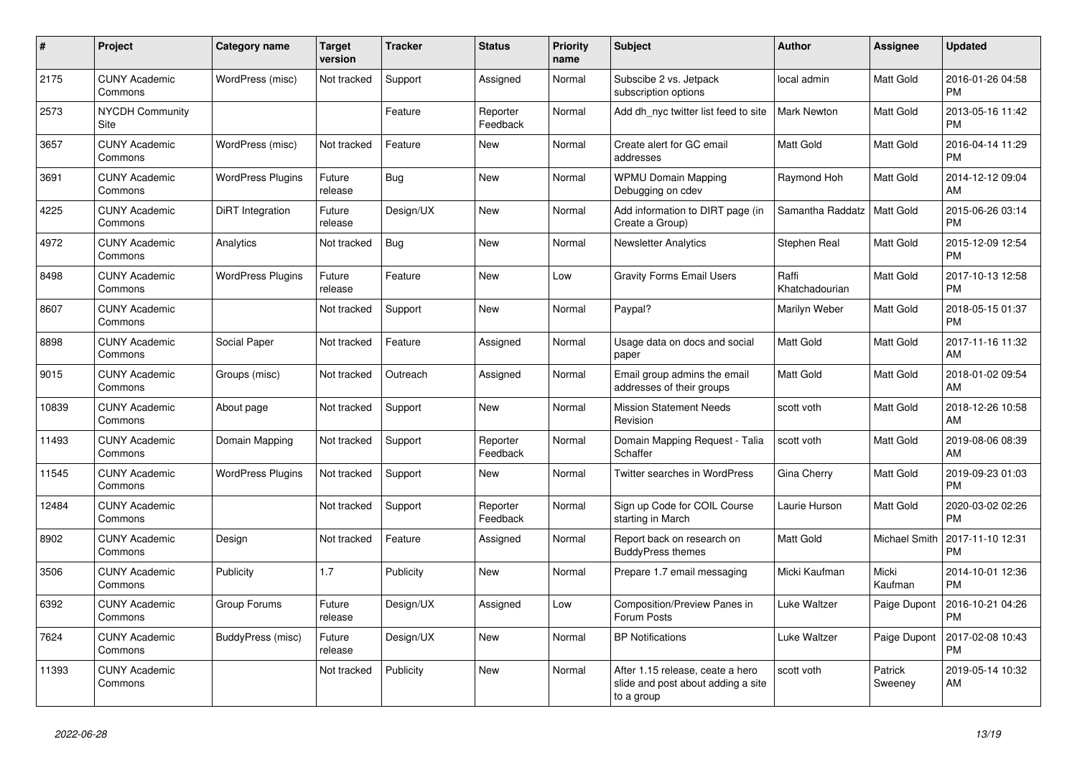| #     | <b>Project</b>                  | Category name            | <b>Target</b><br>version | <b>Tracker</b> | <b>Status</b>        | <b>Priority</b><br>name | <b>Subject</b>                                                                       | <b>Author</b>           | <b>Assignee</b>    | <b>Updated</b>                |
|-------|---------------------------------|--------------------------|--------------------------|----------------|----------------------|-------------------------|--------------------------------------------------------------------------------------|-------------------------|--------------------|-------------------------------|
| 2175  | <b>CUNY Academic</b><br>Commons | WordPress (misc)         | Not tracked              | Support        | Assigned             | Normal                  | Subscibe 2 vs. Jetpack<br>subscription options                                       | local admin             | <b>Matt Gold</b>   | 2016-01-26 04:58<br><b>PM</b> |
| 2573  | <b>NYCDH Community</b><br>Site  |                          |                          | Feature        | Reporter<br>Feedback | Normal                  | Add dh nyc twitter list feed to site                                                 | <b>Mark Newton</b>      | Matt Gold          | 2013-05-16 11:42<br><b>PM</b> |
| 3657  | <b>CUNY Academic</b><br>Commons | WordPress (misc)         | Not tracked              | Feature        | <b>New</b>           | Normal                  | Create alert for GC email<br>addresses                                               | Matt Gold               | Matt Gold          | 2016-04-14 11:29<br><b>PM</b> |
| 3691  | <b>CUNY Academic</b><br>Commons | <b>WordPress Plugins</b> | Future<br>release        | Bug            | <b>New</b>           | Normal                  | <b>WPMU Domain Mapping</b><br>Debugging on cdev                                      | Raymond Hoh             | Matt Gold          | 2014-12-12 09:04<br>AM        |
| 4225  | <b>CUNY Academic</b><br>Commons | <b>DiRT</b> Integration  | Future<br>release        | Design/UX      | <b>New</b>           | Normal                  | Add information to DIRT page (in<br>Create a Group)                                  | Samantha Raddatz        | <b>Matt Gold</b>   | 2015-06-26 03:14<br><b>PM</b> |
| 4972  | <b>CUNY Academic</b><br>Commons | Analytics                | Not tracked              | Bug            | <b>New</b>           | Normal                  | <b>Newsletter Analytics</b>                                                          | Stephen Real            | Matt Gold          | 2015-12-09 12:54<br><b>PM</b> |
| 8498  | <b>CUNY Academic</b><br>Commons | <b>WordPress Plugins</b> | Future<br>release        | Feature        | <b>New</b>           | Low                     | <b>Gravity Forms Email Users</b>                                                     | Raffi<br>Khatchadourian | Matt Gold          | 2017-10-13 12:58<br><b>PM</b> |
| 8607  | <b>CUNY Academic</b><br>Commons |                          | Not tracked              | Support        | <b>New</b>           | Normal                  | Paypal?                                                                              | Marilyn Weber           | Matt Gold          | 2018-05-15 01:37<br><b>PM</b> |
| 8898  | <b>CUNY Academic</b><br>Commons | Social Paper             | Not tracked              | Feature        | Assigned             | Normal                  | Usage data on docs and social<br>paper                                               | <b>Matt Gold</b>        | Matt Gold          | 2017-11-16 11:32<br>AM        |
| 9015  | <b>CUNY Academic</b><br>Commons | Groups (misc)            | Not tracked              | Outreach       | Assigned             | Normal                  | Email group admins the email<br>addresses of their groups                            | <b>Matt Gold</b>        | Matt Gold          | 2018-01-02 09:54<br>AM        |
| 10839 | <b>CUNY Academic</b><br>Commons | About page               | Not tracked              | Support        | <b>New</b>           | Normal                  | <b>Mission Statement Needs</b><br>Revision                                           | scott voth              | Matt Gold          | 2018-12-26 10:58<br>AM        |
| 11493 | <b>CUNY Academic</b><br>Commons | Domain Mapping           | Not tracked              | Support        | Reporter<br>Feedback | Normal                  | Domain Mapping Request - Talia<br>Schaffer                                           | scott voth              | Matt Gold          | 2019-08-06 08:39<br>AM        |
| 11545 | <b>CUNY Academic</b><br>Commons | <b>WordPress Plugins</b> | Not tracked              | Support        | <b>New</b>           | Normal                  | Twitter searches in WordPress                                                        | Gina Cherry             | <b>Matt Gold</b>   | 2019-09-23 01:03<br><b>PM</b> |
| 12484 | <b>CUNY Academic</b><br>Commons |                          | Not tracked              | Support        | Reporter<br>Feedback | Normal                  | Sign up Code for COIL Course<br>starting in March                                    | Laurie Hurson           | Matt Gold          | 2020-03-02 02:26<br><b>PM</b> |
| 8902  | <b>CUNY Academic</b><br>Commons | Design                   | Not tracked              | Feature        | Assigned             | Normal                  | Report back on research on<br><b>BuddyPress themes</b>                               | <b>Matt Gold</b>        | Michael Smith      | 2017-11-10 12:31<br><b>PM</b> |
| 3506  | <b>CUNY Academic</b><br>Commons | Publicity                | 1.7                      | Publicity      | <b>New</b>           | Normal                  | Prepare 1.7 email messaging                                                          | Micki Kaufman           | Micki<br>Kaufman   | 2014-10-01 12:36<br><b>PM</b> |
| 6392  | <b>CUNY Academic</b><br>Commons | Group Forums             | Future<br>release        | Design/UX      | Assigned             | Low                     | Composition/Preview Panes in<br>Forum Posts                                          | Luke Waltzer            | Paige Dupont       | 2016-10-21 04:26<br><b>PM</b> |
| 7624  | <b>CUNY Academic</b><br>Commons | BuddyPress (misc)        | Future<br>release        | Design/UX      | <b>New</b>           | Normal                  | <b>BP Notifications</b>                                                              | Luke Waltzer            | Paige Dupont       | 2017-02-08 10:43<br><b>PM</b> |
| 11393 | <b>CUNY Academic</b><br>Commons |                          | Not tracked              | Publicity      | <b>New</b>           | Normal                  | After 1.15 release, ceate a hero<br>slide and post about adding a site<br>to a group | scott voth              | Patrick<br>Sweeney | 2019-05-14 10:32<br>AM        |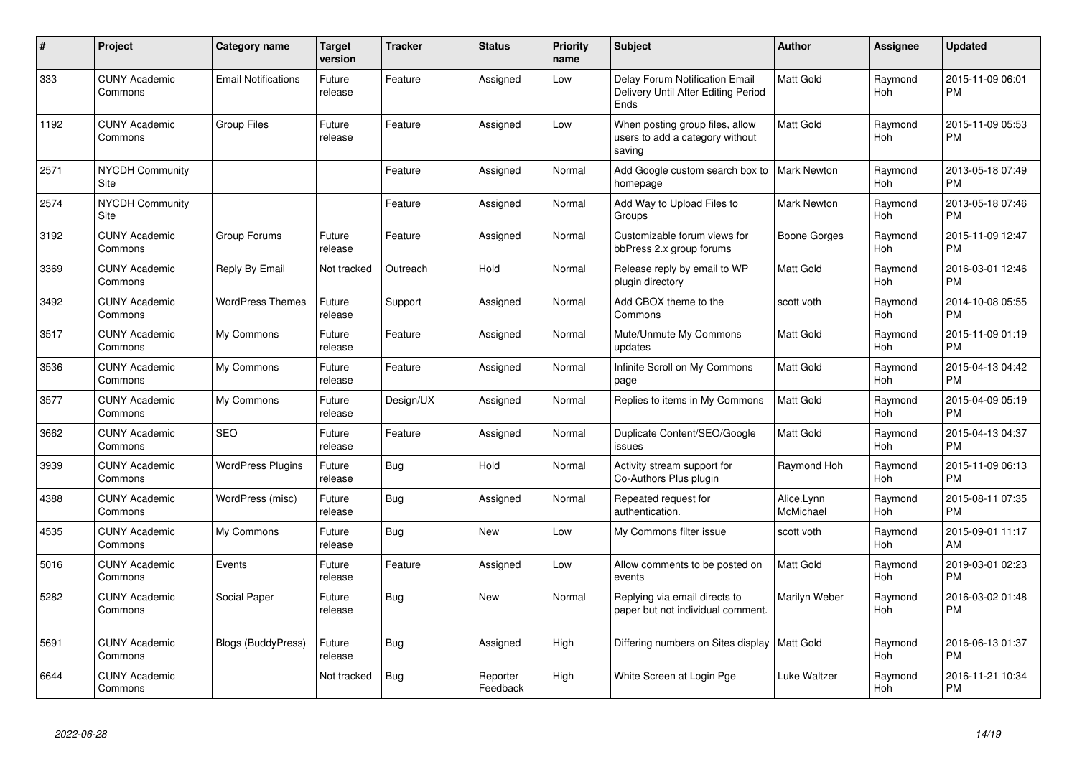| #    | <b>Project</b>                        | <b>Category name</b>       | <b>Target</b><br>version | Tracker    | <b>Status</b>        | Priority<br>name | <b>Subject</b>                                                                | Author                  | Assignee              | <b>Updated</b>                |
|------|---------------------------------------|----------------------------|--------------------------|------------|----------------------|------------------|-------------------------------------------------------------------------------|-------------------------|-----------------------|-------------------------------|
| 333  | <b>CUNY Academic</b><br>Commons       | <b>Email Notifications</b> | Future<br>release        | Feature    | Assigned             | Low              | Delay Forum Notification Email<br>Delivery Until After Editing Period<br>Ends | Matt Gold               | Raymond<br><b>Hoh</b> | 2015-11-09 06:01<br><b>PM</b> |
| 1192 | <b>CUNY Academic</b><br>Commons       | <b>Group Files</b>         | Future<br>release        | Feature    | Assigned             | Low              | When posting group files, allow<br>users to add a category without<br>saving  | Matt Gold               | Raymond<br><b>Hoh</b> | 2015-11-09 05:53<br><b>PM</b> |
| 2571 | <b>NYCDH Community</b><br>Site        |                            |                          | Feature    | Assigned             | Normal           | Add Google custom search box to<br>homepage                                   | Mark Newton             | Raymond<br><b>Hoh</b> | 2013-05-18 07:49<br><b>PM</b> |
| 2574 | <b>NYCDH Community</b><br><b>Site</b> |                            |                          | Feature    | Assigned             | Normal           | Add Way to Upload Files to<br>Groups                                          | <b>Mark Newton</b>      | Raymond<br><b>Hoh</b> | 2013-05-18 07:46<br><b>PM</b> |
| 3192 | <b>CUNY Academic</b><br>Commons       | Group Forums               | Future<br>release        | Feature    | Assigned             | Normal           | Customizable forum views for<br>bbPress 2.x group forums                      | Boone Gorges            | Raymond<br><b>Hoh</b> | 2015-11-09 12:47<br><b>PM</b> |
| 3369 | <b>CUNY Academic</b><br>Commons       | Reply By Email             | Not tracked              | Outreach   | Hold                 | Normal           | Release reply by email to WP<br>plugin directory                              | Matt Gold               | Raymond<br><b>Hoh</b> | 2016-03-01 12:46<br><b>PM</b> |
| 3492 | <b>CUNY Academic</b><br>Commons       | <b>WordPress Themes</b>    | Future<br>release        | Support    | Assigned             | Normal           | Add CBOX theme to the<br>Commons                                              | scott voth              | Raymond<br>Hoh        | 2014-10-08 05:55<br><b>PM</b> |
| 3517 | <b>CUNY Academic</b><br>Commons       | My Commons                 | Future<br>release        | Feature    | Assigned             | Normal           | Mute/Unmute My Commons<br>updates                                             | Matt Gold               | Raymond<br>Hoh        | 2015-11-09 01:19<br><b>PM</b> |
| 3536 | <b>CUNY Academic</b><br>Commons       | My Commons                 | Future<br>release        | Feature    | Assigned             | Normal           | Infinite Scroll on My Commons<br>page                                         | Matt Gold               | Raymond<br>Hoh        | 2015-04-13 04:42<br><b>PM</b> |
| 3577 | <b>CUNY Academic</b><br>Commons       | My Commons                 | Future<br>release        | Design/UX  | Assigned             | Normal           | Replies to items in My Commons                                                | Matt Gold               | Raymond<br><b>Hoh</b> | 2015-04-09 05:19<br><b>PM</b> |
| 3662 | <b>CUNY Academic</b><br>Commons       | <b>SEO</b>                 | Future<br>release        | Feature    | Assigned             | Normal           | Duplicate Content/SEO/Google<br>issues                                        | Matt Gold               | Raymond<br><b>Hoh</b> | 2015-04-13 04:37<br><b>PM</b> |
| 3939 | <b>CUNY Academic</b><br>Commons       | <b>WordPress Plugins</b>   | Future<br>release        | Bug        | Hold                 | Normal           | Activity stream support for<br>Co-Authors Plus plugin                         | Raymond Hoh             | Raymond<br><b>Hoh</b> | 2015-11-09 06:13<br><b>PM</b> |
| 4388 | <b>CUNY Academic</b><br>Commons       | WordPress (misc)           | Future<br>release        | Bug        | Assigned             | Normal           | Repeated request for<br>authentication.                                       | Alice.Lynn<br>McMichael | Raymond<br>Hoh        | 2015-08-11 07:35<br><b>PM</b> |
| 4535 | <b>CUNY Academic</b><br>Commons       | My Commons                 | Future<br>release        | Bug        | New                  | Low              | My Commons filter issue                                                       | scott voth              | Raymond<br>Hoh        | 2015-09-01 11:17<br>AM        |
| 5016 | <b>CUNY Academic</b><br>Commons       | Events                     | Future<br>release        | Feature    | Assigned             | Low              | Allow comments to be posted on<br>events                                      | Matt Gold               | Raymond<br>Hoh        | 2019-03-01 02:23<br><b>PM</b> |
| 5282 | <b>CUNY Academic</b><br>Commons       | Social Paper               | Future<br>release        | <b>Bug</b> | <b>New</b>           | Normal           | Replying via email directs to<br>paper but not individual comment.            | Marilyn Weber           | Raymond<br><b>Hoh</b> | 2016-03-02 01:48<br><b>PM</b> |
| 5691 | <b>CUNY Academic</b><br>Commons       | <b>Blogs (BuddyPress)</b>  | Future<br>release        | Bug        | Assigned             | High             | Differing numbers on Sites display   Matt Gold                                |                         | Raymond<br>Hoh        | 2016-06-13 01:37<br><b>PM</b> |
| 6644 | <b>CUNY Academic</b><br>Commons       |                            | Not tracked              | <b>Bug</b> | Reporter<br>Feedback | High             | White Screen at Login Pge                                                     | Luke Waltzer            | Raymond<br>Hoh        | 2016-11-21 10:34<br><b>PM</b> |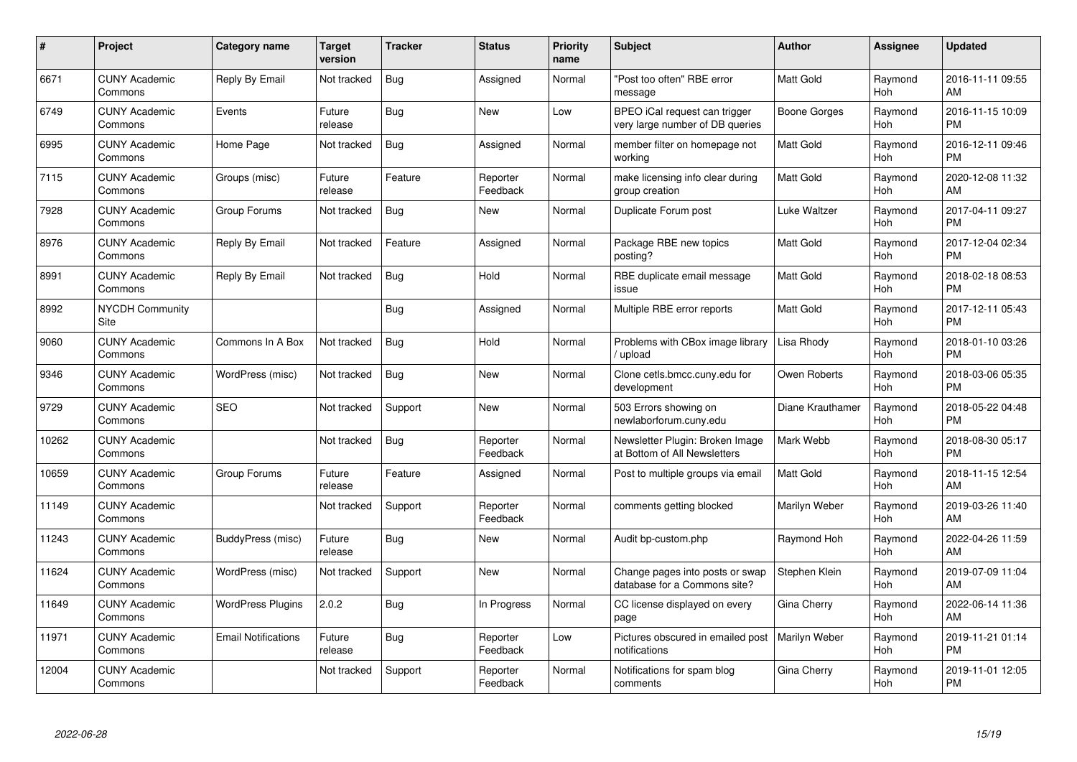| #     | Project                         | Category name              | <b>Target</b><br>version | <b>Tracker</b> | <b>Status</b>        | <b>Priority</b><br>name | <b>Subject</b>                                                   | Author              | <b>Assignee</b>       | <b>Updated</b>                |
|-------|---------------------------------|----------------------------|--------------------------|----------------|----------------------|-------------------------|------------------------------------------------------------------|---------------------|-----------------------|-------------------------------|
| 6671  | <b>CUNY Academic</b><br>Commons | Reply By Email             | Not tracked              | <b>Bug</b>     | Assigned             | Normal                  | 'Post too often" RBE error<br>message                            | <b>Matt Gold</b>    | Raymond<br>Hoh        | 2016-11-11 09:55<br>AM        |
| 6749  | <b>CUNY Academic</b><br>Commons | Events                     | Future<br>release        | <b>Bug</b>     | <b>New</b>           | Low                     | BPEO iCal request can trigger<br>very large number of DB queries | <b>Boone Gorges</b> | Raymond<br>Hoh        | 2016-11-15 10:09<br><b>PM</b> |
| 6995  | <b>CUNY Academic</b><br>Commons | Home Page                  | Not tracked              | <b>Bug</b>     | Assigned             | Normal                  | member filter on homepage not<br>working                         | <b>Matt Gold</b>    | Raymond<br><b>Hoh</b> | 2016-12-11 09:46<br><b>PM</b> |
| 7115  | <b>CUNY Academic</b><br>Commons | Groups (misc)              | Future<br>release        | Feature        | Reporter<br>Feedback | Normal                  | make licensing info clear during<br>group creation               | <b>Matt Gold</b>    | Raymond<br><b>Hoh</b> | 2020-12-08 11:32<br>AM        |
| 7928  | <b>CUNY Academic</b><br>Commons | Group Forums               | Not tracked              | <b>Bug</b>     | <b>New</b>           | Normal                  | Duplicate Forum post                                             | Luke Waltzer        | Raymond<br>Hoh        | 2017-04-11 09:27<br><b>PM</b> |
| 8976  | <b>CUNY Academic</b><br>Commons | Reply By Email             | Not tracked              | Feature        | Assigned             | Normal                  | Package RBE new topics<br>posting?                               | <b>Matt Gold</b>    | Raymond<br>Hoh        | 2017-12-04 02:34<br><b>PM</b> |
| 8991  | <b>CUNY Academic</b><br>Commons | Reply By Email             | Not tracked              | <b>Bug</b>     | Hold                 | Normal                  | RBE duplicate email message<br>issue                             | <b>Matt Gold</b>    | Raymond<br><b>Hoh</b> | 2018-02-18 08:53<br><b>PM</b> |
| 8992  | <b>NYCDH Community</b><br>Site  |                            |                          | Bug            | Assigned             | Normal                  | Multiple RBE error reports                                       | <b>Matt Gold</b>    | Raymond<br>Hoh        | 2017-12-11 05:43<br><b>PM</b> |
| 9060  | <b>CUNY Academic</b><br>Commons | Commons In A Box           | Not tracked              | Bug            | Hold                 | Normal                  | Problems with CBox image library<br>/ upload                     | Lisa Rhody          | Raymond<br>Hoh        | 2018-01-10 03:26<br><b>PM</b> |
| 9346  | <b>CUNY Academic</b><br>Commons | WordPress (misc)           | Not tracked              | Bug            | <b>New</b>           | Normal                  | Clone cetls.bmcc.cuny.edu for<br>development                     | Owen Roberts        | Raymond<br>Hoh        | 2018-03-06 05:35<br><b>PM</b> |
| 9729  | <b>CUNY Academic</b><br>Commons | <b>SEO</b>                 | Not tracked              | Support        | <b>New</b>           | Normal                  | 503 Errors showing on<br>newlaborforum.cuny.edu                  | Diane Krauthamer    | Raymond<br>Hoh        | 2018-05-22 04:48<br><b>PM</b> |
| 10262 | <b>CUNY Academic</b><br>Commons |                            | Not tracked              | Bug            | Reporter<br>Feedback | Normal                  | Newsletter Plugin: Broken Image<br>at Bottom of All Newsletters  | Mark Webb           | Raymond<br>Hoh        | 2018-08-30 05:17<br><b>PM</b> |
| 10659 | <b>CUNY Academic</b><br>Commons | Group Forums               | Future<br>release        | Feature        | Assigned             | Normal                  | Post to multiple groups via email                                | Matt Gold           | Raymond<br><b>Hoh</b> | 2018-11-15 12:54<br>AM        |
| 11149 | <b>CUNY Academic</b><br>Commons |                            | Not tracked              | Support        | Reporter<br>Feedback | Normal                  | comments getting blocked                                         | Marilyn Weber       | Raymond<br>Hoh        | 2019-03-26 11:40<br>AM        |
| 11243 | <b>CUNY Academic</b><br>Commons | BuddyPress (misc)          | Future<br>release        | <b>Bug</b>     | <b>New</b>           | Normal                  | Audit bp-custom.php                                              | Raymond Hoh         | Raymond<br>Hoh        | 2022-04-26 11:59<br>AM        |
| 11624 | <b>CUNY Academic</b><br>Commons | WordPress (misc)           | Not tracked              | Support        | <b>New</b>           | Normal                  | Change pages into posts or swap<br>database for a Commons site?  | Stephen Klein       | Raymond<br>Hoh        | 2019-07-09 11:04<br>AM        |
| 11649 | <b>CUNY Academic</b><br>Commons | <b>WordPress Plugins</b>   | 2.0.2                    | <b>Bug</b>     | In Progress          | Normal                  | CC license displayed on every<br>page                            | Gina Cherry         | Raymond<br><b>Hoh</b> | 2022-06-14 11:36<br>AM        |
| 11971 | <b>CUNY Academic</b><br>Commons | <b>Email Notifications</b> | Future<br>release        | <b>Bug</b>     | Reporter<br>Feedback | Low                     | Pictures obscured in emailed post<br>notifications               | Marilyn Weber       | Raymond<br>Hoh        | 2019-11-21 01:14<br><b>PM</b> |
| 12004 | CUNY Academic<br>Commons        |                            | Not tracked              | Support        | Reporter<br>Feedback | Normal                  | Notifications for spam blog<br>comments                          | Gina Cherry         | Raymond<br>Hoh        | 2019-11-01 12:05<br>PM        |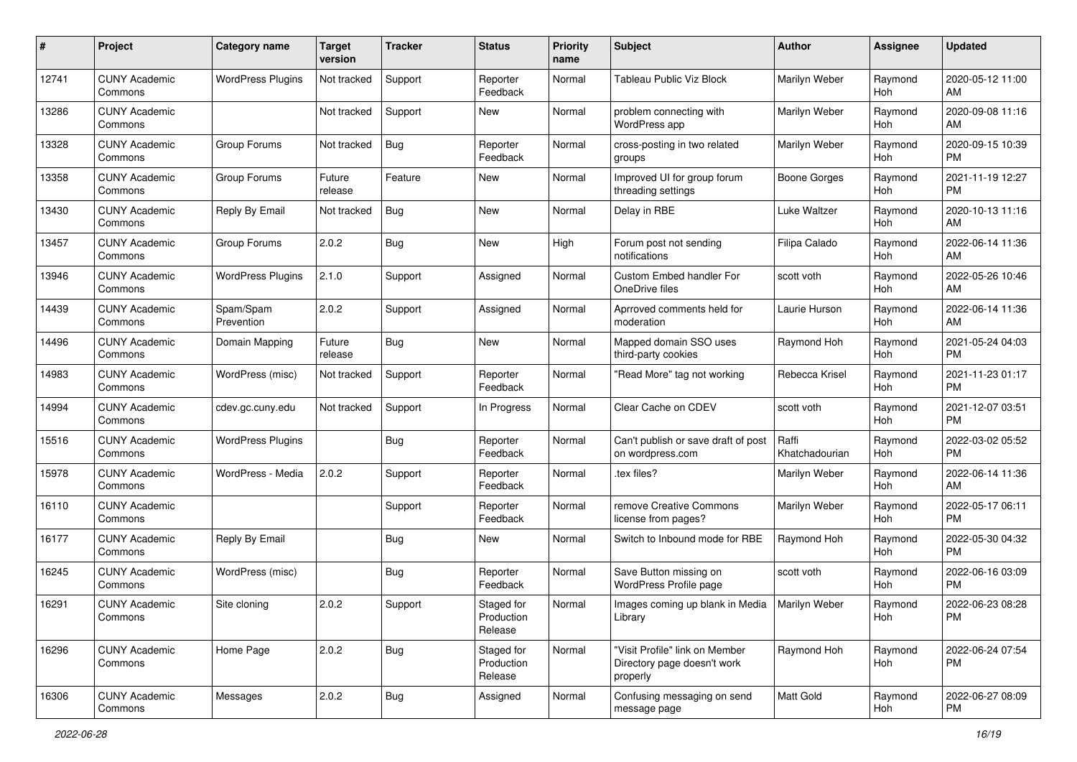| #     | Project                         | <b>Category name</b>     | <b>Target</b><br>version | <b>Tracker</b> | <b>Status</b>                       | <b>Priority</b><br>name | Subject                                                                   | Author                  | <b>Assignee</b>       | <b>Updated</b>                |
|-------|---------------------------------|--------------------------|--------------------------|----------------|-------------------------------------|-------------------------|---------------------------------------------------------------------------|-------------------------|-----------------------|-------------------------------|
| 12741 | <b>CUNY Academic</b><br>Commons | <b>WordPress Plugins</b> | Not tracked              | Support        | Reporter<br>Feedback                | Normal                  | Tableau Public Viz Block                                                  | Marilyn Weber           | Raymond<br>Hoh        | 2020-05-12 11:00<br>AM        |
| 13286 | <b>CUNY Academic</b><br>Commons |                          | Not tracked              | Support        | <b>New</b>                          | Normal                  | problem connecting with<br>WordPress app                                  | Marilyn Weber           | Raymond<br><b>Hoh</b> | 2020-09-08 11:16<br>AM        |
| 13328 | <b>CUNY Academic</b><br>Commons | Group Forums             | Not tracked              | <b>Bug</b>     | Reporter<br>Feedback                | Normal                  | cross-posting in two related<br>groups                                    | Marilyn Weber           | Raymond<br>Hoh        | 2020-09-15 10:39<br><b>PM</b> |
| 13358 | <b>CUNY Academic</b><br>Commons | Group Forums             | Future<br>release        | Feature        | <b>New</b>                          | Normal                  | Improved UI for group forum<br>threading settings                         | Boone Gorges            | Raymond<br>Hoh        | 2021-11-19 12:27<br>PM        |
| 13430 | <b>CUNY Academic</b><br>Commons | Reply By Email           | Not tracked              | <b>Bug</b>     | <b>New</b>                          | Normal                  | Delay in RBE                                                              | Luke Waltzer            | Raymond<br>Hoh        | 2020-10-13 11:16<br>AM        |
| 13457 | <b>CUNY Academic</b><br>Commons | Group Forums             | 2.0.2                    | <b>Bug</b>     | New                                 | High                    | Forum post not sending<br>notifications                                   | Filipa Calado           | Raymond<br>Hoh        | 2022-06-14 11:36<br>AM        |
| 13946 | <b>CUNY Academic</b><br>Commons | <b>WordPress Plugins</b> | 2.1.0                    | Support        | Assigned                            | Normal                  | Custom Embed handler For<br>OneDrive files                                | scott voth              | Raymond<br>Hoh        | 2022-05-26 10:46<br>AM        |
| 14439 | <b>CUNY Academic</b><br>Commons | Spam/Spam<br>Prevention  | 2.0.2                    | Support        | Assigned                            | Normal                  | Aprroved comments held for<br>moderation                                  | Laurie Hurson           | Raymond<br>Hoh        | 2022-06-14 11:36<br>AM        |
| 14496 | <b>CUNY Academic</b><br>Commons | Domain Mapping           | Future<br>release        | <b>Bug</b>     | New                                 | Normal                  | Mapped domain SSO uses<br>third-party cookies                             | Raymond Hoh             | Raymond<br><b>Hoh</b> | 2021-05-24 04:03<br><b>PM</b> |
| 14983 | <b>CUNY Academic</b><br>Commons | WordPress (misc)         | Not tracked              | Support        | Reporter<br>Feedback                | Normal                  | "Read More" tag not working                                               | Rebecca Krisel          | Raymond<br>Hoh        | 2021-11-23 01:17<br><b>PM</b> |
| 14994 | <b>CUNY Academic</b><br>Commons | cdev.gc.cuny.edu         | Not tracked              | Support        | In Progress                         | Normal                  | Clear Cache on CDEV                                                       | scott voth              | Raymond<br>Hoh        | 2021-12-07 03:51<br><b>PM</b> |
| 15516 | <b>CUNY Academic</b><br>Commons | <b>WordPress Plugins</b> |                          | <b>Bug</b>     | Reporter<br>Feedback                | Normal                  | Can't publish or save draft of post<br>on wordpress.com                   | Raffi<br>Khatchadourian | Raymond<br>Hoh        | 2022-03-02 05:52<br><b>PM</b> |
| 15978 | <b>CUNY Academic</b><br>Commons | WordPress - Media        | 2.0.2                    | Support        | Reporter<br>Feedback                | Normal                  | .tex files?                                                               | Marilyn Weber           | Raymond<br>Hoh        | 2022-06-14 11:36<br>AM        |
| 16110 | <b>CUNY Academic</b><br>Commons |                          |                          | Support        | Reporter<br>Feedback                | Normal                  | remove Creative Commons<br>license from pages?                            | Marilyn Weber           | Raymond<br>Hoh        | 2022-05-17 06:11<br><b>PM</b> |
| 16177 | <b>CUNY Academic</b><br>Commons | Reply By Email           |                          | <b>Bug</b>     | New                                 | Normal                  | Switch to Inbound mode for RBE                                            | Raymond Hoh             | Raymond<br>Hoh        | 2022-05-30 04:32<br><b>PM</b> |
| 16245 | <b>CUNY Academic</b><br>Commons | WordPress (misc)         |                          | <b>Bug</b>     | Reporter<br>Feedback                | Normal                  | Save Button missing on<br>WordPress Profile page                          | scott voth              | Raymond<br>Hoh        | 2022-06-16 03:09<br><b>PM</b> |
| 16291 | <b>CUNY Academic</b><br>Commons | Site cloning             | 2.0.2                    | Support        | Staged for<br>Production<br>Release | Normal                  | Images coming up blank in Media   Marilyn Weber<br>Library                |                         | Raymond<br>Hoh        | 2022-06-23 08:28<br>PM        |
| 16296 | <b>CUNY Academic</b><br>Commons | Home Page                | 2.0.2                    | i Bug          | Staged for<br>Production<br>Release | Normal                  | "Visit Profile" link on Member<br>Directory page doesn't work<br>properly | Raymond Hoh             | Raymond<br>Hoh        | 2022-06-24 07:54<br>PM        |
| 16306 | <b>CUNY Academic</b><br>Commons | Messages                 | 2.0.2                    | <b>Bug</b>     | Assigned                            | Normal                  | Confusing messaging on send<br>message page                               | Matt Gold               | Raymond<br>Hoh        | 2022-06-27 08:09<br><b>PM</b> |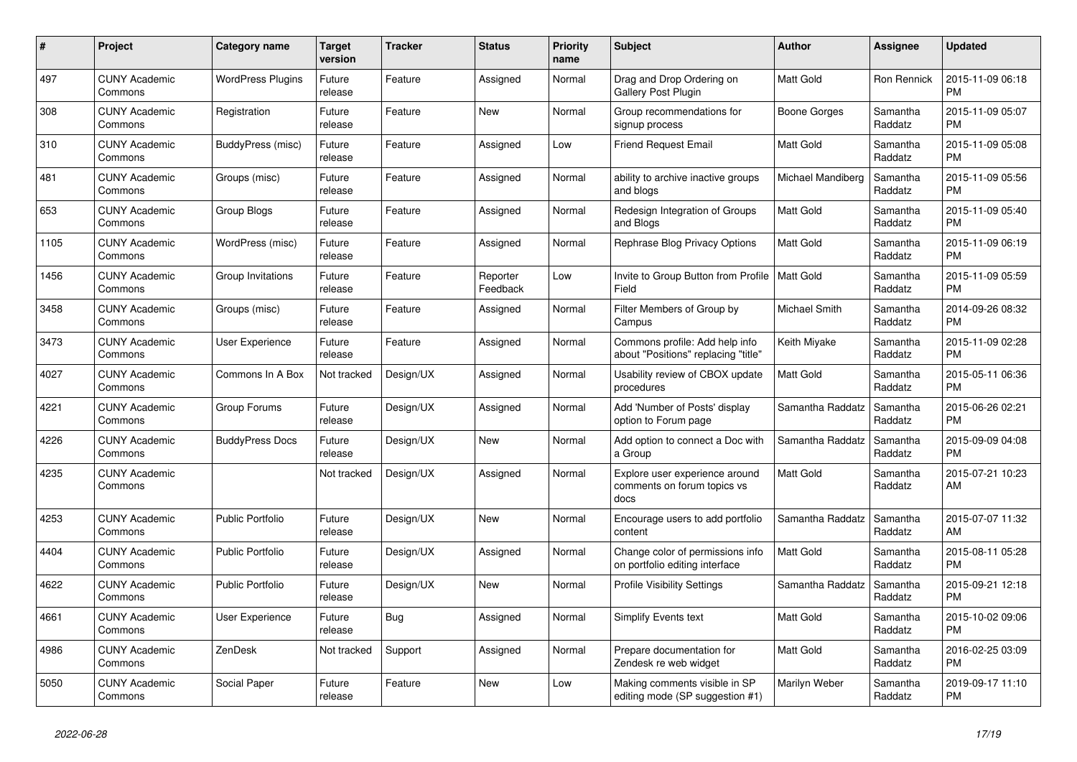| $\#$ | <b>Project</b>                  | Category name            | <b>Target</b><br>version | Tracker   | <b>Status</b>        | <b>Priority</b><br>name | <b>Subject</b>                                                        | <b>Author</b>     | <b>Assignee</b>     | <b>Updated</b>                |
|------|---------------------------------|--------------------------|--------------------------|-----------|----------------------|-------------------------|-----------------------------------------------------------------------|-------------------|---------------------|-------------------------------|
| 497  | <b>CUNY Academic</b><br>Commons | <b>WordPress Plugins</b> | Future<br>release        | Feature   | Assigned             | Normal                  | Drag and Drop Ordering on<br>Gallery Post Plugin                      | <b>Matt Gold</b>  | Ron Rennick         | 2015-11-09 06:18<br><b>PM</b> |
| 308  | <b>CUNY Academic</b><br>Commons | Registration             | Future<br>release        | Feature   | <b>New</b>           | Normal                  | Group recommendations for<br>signup process                           | Boone Gorges      | Samantha<br>Raddatz | 2015-11-09 05:07<br><b>PM</b> |
| 310  | <b>CUNY Academic</b><br>Commons | BuddyPress (misc)        | Future<br>release        | Feature   | Assigned             | Low                     | Friend Request Email                                                  | Matt Gold         | Samantha<br>Raddatz | 2015-11-09 05:08<br><b>PM</b> |
| 481  | <b>CUNY Academic</b><br>Commons | Groups (misc)            | Future<br>release        | Feature   | Assigned             | Normal                  | ability to archive inactive groups<br>and blogs                       | Michael Mandiberg | Samantha<br>Raddatz | 2015-11-09 05:56<br><b>PM</b> |
| 653  | <b>CUNY Academic</b><br>Commons | Group Blogs              | Future<br>release        | Feature   | Assigned             | Normal                  | Redesign Integration of Groups<br>and Blogs                           | <b>Matt Gold</b>  | Samantha<br>Raddatz | 2015-11-09 05:40<br><b>PM</b> |
| 1105 | <b>CUNY Academic</b><br>Commons | WordPress (misc)         | Future<br>release        | Feature   | Assigned             | Normal                  | Rephrase Blog Privacy Options                                         | Matt Gold         | Samantha<br>Raddatz | 2015-11-09 06:19<br><b>PM</b> |
| 1456 | <b>CUNY Academic</b><br>Commons | Group Invitations        | Future<br>release        | Feature   | Reporter<br>Feedback | Low                     | Invite to Group Button from Profile   Matt Gold<br>Field              |                   | Samantha<br>Raddatz | 2015-11-09 05:59<br><b>PM</b> |
| 3458 | <b>CUNY Academic</b><br>Commons | Groups (misc)            | Future<br>release        | Feature   | Assigned             | Normal                  | Filter Members of Group by<br>Campus                                  | Michael Smith     | Samantha<br>Raddatz | 2014-09-26 08:32<br><b>PM</b> |
| 3473 | <b>CUNY Academic</b><br>Commons | User Experience          | Future<br>release        | Feature   | Assigned             | Normal                  | Commons profile: Add help info<br>about "Positions" replacing "title" | Keith Miyake      | Samantha<br>Raddatz | 2015-11-09 02:28<br><b>PM</b> |
| 4027 | <b>CUNY Academic</b><br>Commons | Commons In A Box         | Not tracked              | Design/UX | Assigned             | Normal                  | Usability review of CBOX update<br>procedures                         | <b>Matt Gold</b>  | Samantha<br>Raddatz | 2015-05-11 06:36<br><b>PM</b> |
| 4221 | <b>CUNY Academic</b><br>Commons | Group Forums             | Future<br>release        | Design/UX | Assigned             | Normal                  | Add 'Number of Posts' display<br>option to Forum page                 | Samantha Raddatz  | Samantha<br>Raddatz | 2015-06-26 02:21<br><b>PM</b> |
| 4226 | <b>CUNY Academic</b><br>Commons | <b>BuddyPress Docs</b>   | Future<br>release        | Design/UX | <b>New</b>           | Normal                  | Add option to connect a Doc with<br>a Group                           | Samantha Raddatz  | Samantha<br>Raddatz | 2015-09-09 04:08<br><b>PM</b> |
| 4235 | <b>CUNY Academic</b><br>Commons |                          | Not tracked              | Design/UX | Assigned             | Normal                  | Explore user experience around<br>comments on forum topics vs<br>docs | <b>Matt Gold</b>  | Samantha<br>Raddatz | 2015-07-21 10:23<br>AM        |
| 4253 | <b>CUNY Academic</b><br>Commons | <b>Public Portfolio</b>  | Future<br>release        | Design/UX | New                  | Normal                  | Encourage users to add portfolio<br>content                           | Samantha Raddatz  | Samantha<br>Raddatz | 2015-07-07 11:32<br>AM        |
| 4404 | <b>CUNY Academic</b><br>Commons | <b>Public Portfolio</b>  | Future<br>release        | Design/UX | Assigned             | Normal                  | Change color of permissions info<br>on portfolio editing interface    | <b>Matt Gold</b>  | Samantha<br>Raddatz | 2015-08-11 05:28<br><b>PM</b> |
| 4622 | <b>CUNY Academic</b><br>Commons | <b>Public Portfolio</b>  | Future<br>release        | Design/UX | <b>New</b>           | Normal                  | <b>Profile Visibility Settings</b>                                    | Samantha Raddatz  | Samantha<br>Raddatz | 2015-09-21 12:18<br><b>PM</b> |
| 4661 | <b>CUNY Academic</b><br>Commons | User Experience          | Future<br>release        | Bug       | Assigned             | Normal                  | Simplify Events text                                                  | Matt Gold         | Samantha<br>Raddatz | 2015-10-02 09:06<br><b>PM</b> |
| 4986 | <b>CUNY Academic</b><br>Commons | ZenDesk                  | Not tracked              | Support   | Assigned             | Normal                  | Prepare documentation for<br>Zendesk re web widget                    | <b>Matt Gold</b>  | Samantha<br>Raddatz | 2016-02-25 03:09<br><b>PM</b> |
| 5050 | <b>CUNY Academic</b><br>Commons | Social Paper             | Future<br>release        | Feature   | <b>New</b>           | Low                     | Making comments visible in SP<br>editing mode (SP suggestion #1)      | Marilyn Weber     | Samantha<br>Raddatz | 2019-09-17 11:10<br><b>PM</b> |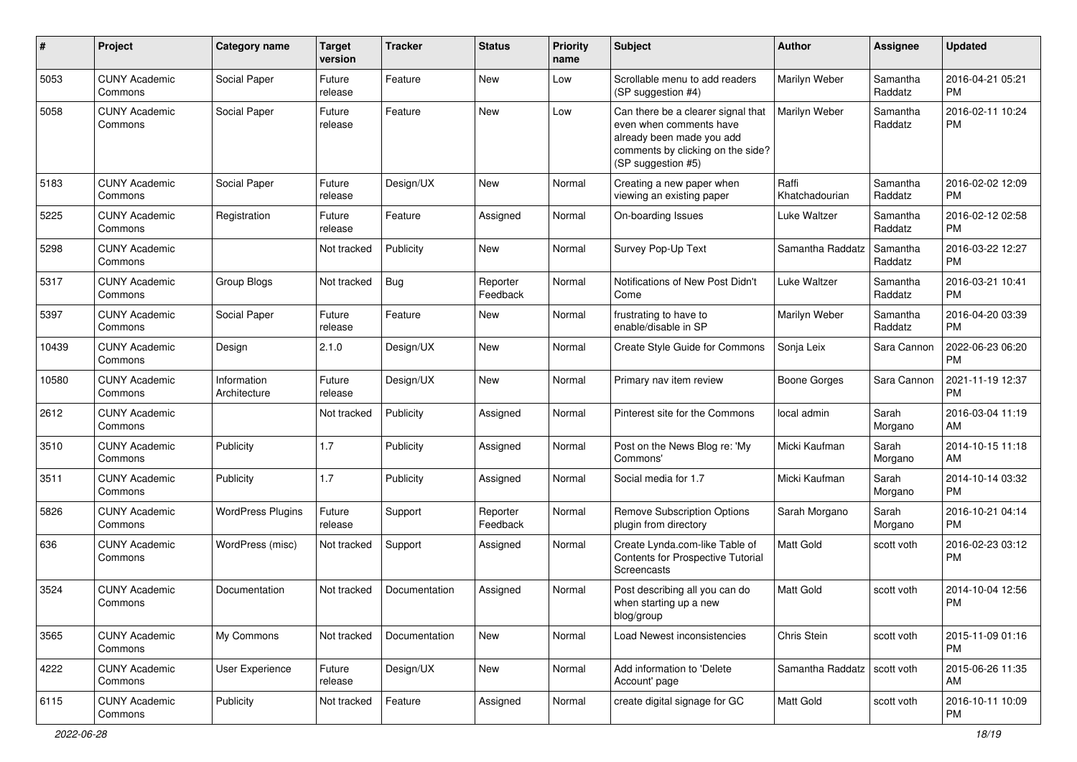| #     | Project                         | <b>Category name</b>        | Target<br>version | <b>Tracker</b> | <b>Status</b>        | <b>Priority</b><br>name | <b>Subject</b>                                                                                                                                        | Author                  | <b>Assignee</b>     | <b>Updated</b>                |
|-------|---------------------------------|-----------------------------|-------------------|----------------|----------------------|-------------------------|-------------------------------------------------------------------------------------------------------------------------------------------------------|-------------------------|---------------------|-------------------------------|
| 5053  | <b>CUNY Academic</b><br>Commons | Social Paper                | Future<br>release | Feature        | <b>New</b>           | Low                     | Scrollable menu to add readers<br>(SP suggestion #4)                                                                                                  | Marilyn Weber           | Samantha<br>Raddatz | 2016-04-21 05:21<br><b>PM</b> |
| 5058  | <b>CUNY Academic</b><br>Commons | Social Paper                | Future<br>release | Feature        | New                  | Low                     | Can there be a clearer signal that<br>even when comments have<br>already been made you add<br>comments by clicking on the side?<br>(SP suggestion #5) | Marilyn Weber           | Samantha<br>Raddatz | 2016-02-11 10:24<br><b>PM</b> |
| 5183  | <b>CUNY Academic</b><br>Commons | Social Paper                | Future<br>release | Design/UX      | New                  | Normal                  | Creating a new paper when<br>viewing an existing paper                                                                                                | Raffi<br>Khatchadourian | Samantha<br>Raddatz | 2016-02-02 12:09<br><b>PM</b> |
| 5225  | <b>CUNY Academic</b><br>Commons | Registration                | Future<br>release | Feature        | Assigned             | Normal                  | On-boarding Issues                                                                                                                                    | Luke Waltzer            | Samantha<br>Raddatz | 2016-02-12 02:58<br><b>PM</b> |
| 5298  | <b>CUNY Academic</b><br>Commons |                             | Not tracked       | Publicity      | New                  | Normal                  | Survey Pop-Up Text                                                                                                                                    | Samantha Raddatz        | Samantha<br>Raddatz | 2016-03-22 12:27<br><b>PM</b> |
| 5317  | <b>CUNY Academic</b><br>Commons | Group Blogs                 | Not tracked       | <b>Bug</b>     | Reporter<br>Feedback | Normal                  | Notifications of New Post Didn't<br>Come                                                                                                              | Luke Waltzer            | Samantha<br>Raddatz | 2016-03-21 10:41<br><b>PM</b> |
| 5397  | <b>CUNY Academic</b><br>Commons | Social Paper                | Future<br>release | Feature        | New                  | Normal                  | frustrating to have to<br>enable/disable in SP                                                                                                        | Marilyn Weber           | Samantha<br>Raddatz | 2016-04-20 03:39<br><b>PM</b> |
| 10439 | <b>CUNY Academic</b><br>Commons | Design                      | 2.1.0             | Design/UX      | <b>New</b>           | Normal                  | Create Style Guide for Commons                                                                                                                        | Sonja Leix              | Sara Cannon         | 2022-06-23 06:20<br><b>PM</b> |
| 10580 | <b>CUNY Academic</b><br>Commons | Information<br>Architecture | Future<br>release | Design/UX      | New                  | Normal                  | Primary nav item review                                                                                                                               | <b>Boone Gorges</b>     | Sara Cannon         | 2021-11-19 12:37<br><b>PM</b> |
| 2612  | <b>CUNY Academic</b><br>Commons |                             | Not tracked       | Publicity      | Assigned             | Normal                  | Pinterest site for the Commons                                                                                                                        | local admin             | Sarah<br>Morgano    | 2016-03-04 11:19<br>AM        |
| 3510  | <b>CUNY Academic</b><br>Commons | Publicity                   | 1.7               | Publicity      | Assigned             | Normal                  | Post on the News Blog re: 'My<br>Commons'                                                                                                             | Micki Kaufman           | Sarah<br>Morgano    | 2014-10-15 11:18<br>AM        |
| 3511  | <b>CUNY Academic</b><br>Commons | Publicity                   | 1.7               | Publicity      | Assigned             | Normal                  | Social media for 1.7                                                                                                                                  | Micki Kaufman           | Sarah<br>Morgano    | 2014-10-14 03:32<br><b>PM</b> |
| 5826  | <b>CUNY Academic</b><br>Commons | <b>WordPress Plugins</b>    | Future<br>release | Support        | Reporter<br>Feedback | Normal                  | <b>Remove Subscription Options</b><br>plugin from directory                                                                                           | Sarah Morgano           | Sarah<br>Morgano    | 2016-10-21 04:14<br><b>PM</b> |
| 636   | <b>CUNY Academic</b><br>Commons | WordPress (misc)            | Not tracked       | Support        | Assigned             | Normal                  | Create Lynda.com-like Table of<br>Contents for Prospective Tutorial<br>Screencasts                                                                    | Matt Gold               | scott voth          | 2016-02-23 03:12<br><b>PM</b> |
| 3524  | <b>CUNY Academic</b><br>Commons | Documentation               | Not tracked       | Documentation  | Assigned             | Normal                  | Post describing all you can do<br>when starting up a new<br>blog/group                                                                                | Matt Gold               | scott voth          | 2014-10-04 12:56<br><b>PM</b> |
| 3565  | <b>CUNY Academic</b><br>Commons | My Commons                  | Not tracked       | Documentation  | New                  | Normal                  | Load Newest inconsistencies                                                                                                                           | Chris Stein             | scott voth          | 2015-11-09 01:16<br>PM        |
| 4222  | <b>CUNY Academic</b><br>Commons | User Experience             | Future<br>release | Design/UX      | New                  | Normal                  | Add information to 'Delete<br>Account' page                                                                                                           | Samantha Raddatz        | scott voth          | 2015-06-26 11:35<br>AM        |
| 6115  | <b>CUNY Academic</b><br>Commons | Publicity                   | Not tracked       | Feature        | Assigned             | Normal                  | create digital signage for GC                                                                                                                         | Matt Gold               | scott voth          | 2016-10-11 10:09<br>PM        |